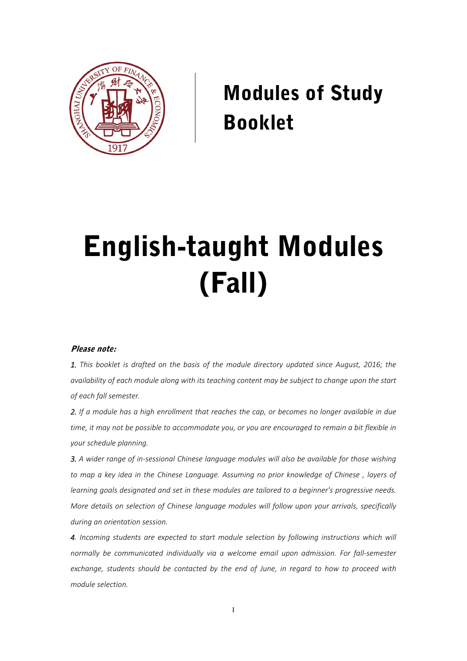

# Modules of Study Booklet

# English-taught Modules (Fall)

#### Please note:

*1. This booklet is drafted on the basis of the module directory updated since August, 2016; the availability of each module along with its teaching content may be subject to change upon the start of each fall semester.* 

*2. If a module has a high enrollment that reaches the cap, or becomes no longer available in due time, it may not be possible to accommodate you, or you are encouraged to remain a bit flexible in your schedule planning.* 

*3. A wider range of in‐sessional Chinese language modules will also be available for those wishing to map a key idea in the Chinese Language. Assuming no prior knowledge of Chinese , layers of learning goals designated and set in these modules are tailored to a beginner's progressive needs. More details on selection of Chinese language modules will follow upon your arrivals, specifically during an orientation session.* 

*4. Incoming students are expected to start module selection by following instructions which will normally be communicated individually via a welcome email upon admission. For fall‐semester exchange, students should be contacted by the end of June, in regard to how to proceed with module selection.*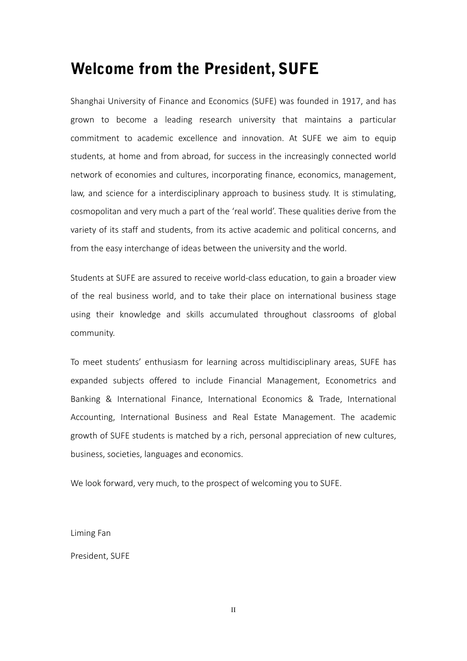# Welcome from the President, SUFE

Shanghai University of Finance and Economics (SUFE) was founded in 1917, and has grown to become a leading research university that maintains a particular commitment to academic excellence and innovation. At SUFE we aim to equip students, at home and from abroad, for success in the increasingly connected world network of economies and cultures, incorporating finance, economics, management, law, and science for a interdisciplinary approach to business study. It is stimulating, cosmopolitan and very much a part of the 'real world'. These qualities derive from the variety of its staff and students, from its active academic and political concerns, and from the easy interchange of ideas between the university and the world.

Students at SUFE are assured to receive world‐class education, to gain a broader view of the real business world, and to take their place on international business stage using their knowledge and skills accumulated throughout classrooms of global community.

To meet students' enthusiasm for learning across multidisciplinary areas, SUFE has expanded subjects offered to include Financial Management, Econometrics and Banking & International Finance, International Economics & Trade, International Accounting, International Business and Real Estate Management. The academic growth of SUFE students is matched by a rich, personal appreciation of new cultures, business, societies, languages and economics.

We look forward, very much, to the prospect of welcoming you to SUFE.

Liming Fan

President, SUFE

II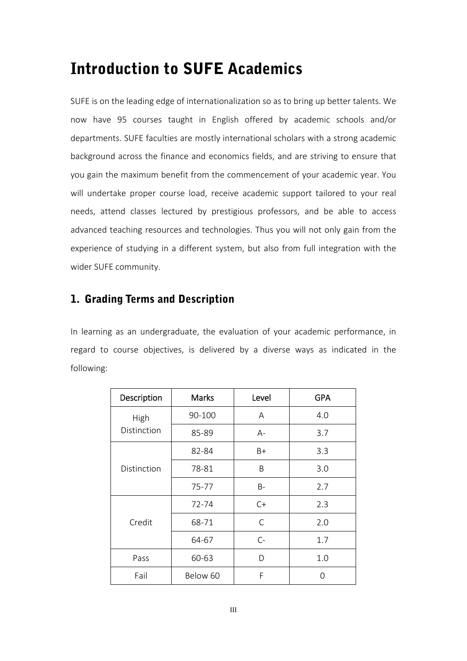# Introduction to SUFE Academics

SUFE is on the leading edge of internationalization so as to bring up better talents. We now have 95 courses taught in English offered by academic schools and/or departments. SUFE faculties are mostly international scholars with a strong academic background across the finance and economics fields, and are striving to ensure that you gain the maximum benefit from the commencement of your academic year. You will undertake proper course load, receive academic support tailored to your real needs, attend classes lectured by prestigious professors, and be able to access advanced teaching resources and technologies. Thus you will not only gain from the experience of studying in a different system, but also from full integration with the wider SUFE community.

# 1. Grading Terms and Description

In learning as an undergraduate, the evaluation of your academic performance, in regard to course objectives, is delivered by a diverse ways as indicated in the following:

| Description | <b>Marks</b> | Level | <b>GPA</b> |
|-------------|--------------|-------|------------|
| High        | 90-100       | Α     | 4.0        |
| Distinction | 85-89        | A-    | 3.7        |
|             | 82-84        | $B+$  | 3.3        |
| Distinction | 78-81        | B     | 3.0        |
|             | 75-77        | B-    | 2.7        |
| Credit      | 72-74        | $C+$  | 2.3        |
|             | 68-71        | C     | 2.0        |
|             | 64-67        | $C-$  | 1.7        |
| Pass        | 60-63        | D     | 1.0        |
| Fail        | Below 60     | F     | ∩          |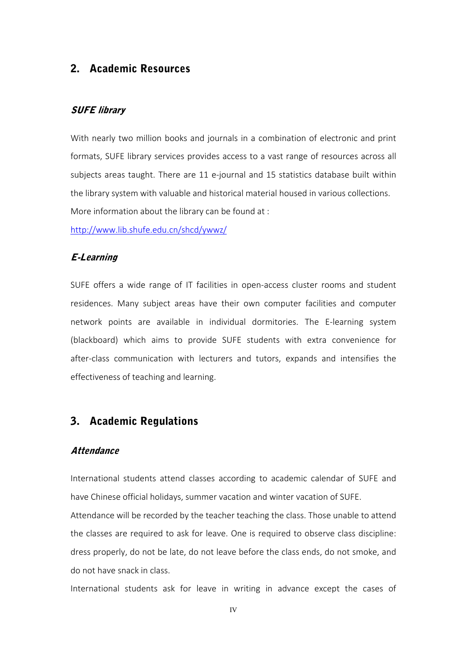# 2. Academic Resources

# SUFE library

With nearly two million books and journals in a combination of electronic and print formats, SUFE library services provides access to a vast range of resources across all subjects areas taught. There are 11 e‐journal and 15 statistics database built within the library system with valuable and historical material housed in various collections. More information about the library can be found at :

http://www.lib.shufe.edu.cn/shcd/ywwz/

#### E-Learning

SUFE offers a wide range of IT facilities in open-access cluster rooms and student residences. Many subject areas have their own computer facilities and computer network points are available in individual dormitories. The E‐learning system (blackboard) which aims to provide SUFE students with extra convenience for after‐class communication with lecturers and tutors, expands and intensifies the effectiveness of teaching and learning.

# 3. Academic Regulations

#### **Attendance**

International students attend classes according to academic calendar of SUFE and have Chinese official holidays, summer vacation and winter vacation of SUFE.

Attendance will be recorded by the teacher teaching the class. Those unable to attend the classes are required to ask for leave. One is required to observe class discipline: dress properly, do not be late, do not leave before the class ends, do not smoke, and do not have snack in class.

International students ask for leave in writing in advance except the cases of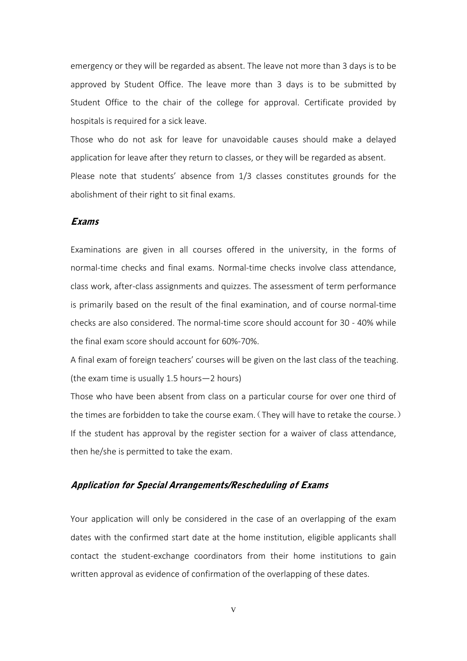emergency or they will be regarded as absent. The leave not more than 3 days is to be approved by Student Office. The leave more than 3 days is to be submitted by Student Office to the chair of the college for approval. Certificate provided by hospitals is required for a sick leave.

Those who do not ask for leave for unavoidable causes should make a delayed application for leave after they return to classes, or they will be regarded as absent. Please note that students' absence from 1/3 classes constitutes grounds for the abolishment of their right to sit final exams.

# Exams

Examinations are given in all courses offered in the university, in the forms of normal‐time checks and final exams. Normal‐time checks involve class attendance, class work, after‐class assignments and quizzes. The assessment of term performance is primarily based on the result of the final examination, and of course normal-time checks are also considered. The normal‐time score should account for 30 ‐ 40% while the final exam score should account for 60%‐70%.

A final exam of foreign teachers' courses will be given on the last class of the teaching. (the exam time is usually 1.5 hours—2 hours)

Those who have been absent from class on a particular course for over one third of the times are forbidden to take the course exam.(They will have to retake the course.) If the student has approval by the register section for a waiver of class attendance, then he/she is permitted to take the exam.

# Application for Special Arrangements/Rescheduling of Exams

Your application will only be considered in the case of an overlapping of the exam dates with the confirmed start date at the home institution, eligible applicants shall contact the student‐exchange coordinators from their home institutions to gain written approval as evidence of confirmation of the overlapping of these dates.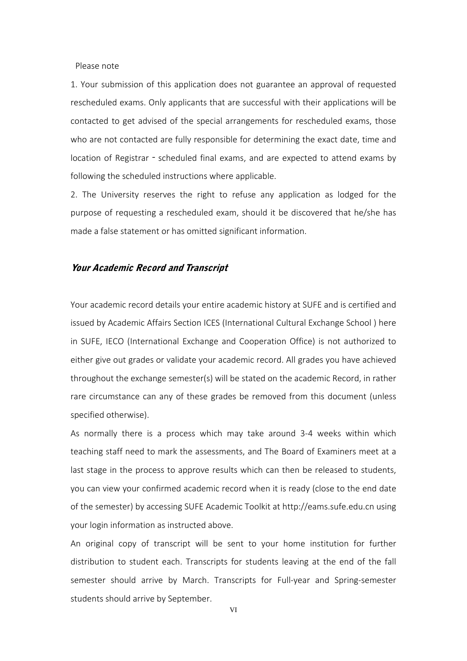Please note

1. Your submission of this application does not guarantee an approval of requested rescheduled exams. Only applicants that are successful with their applications will be contacted to get advised of the special arrangements for rescheduled exams, those who are not contacted are fully responsible for determining the exact date, time and location of Registrar - scheduled final exams, and are expected to attend exams by following the scheduled instructions where applicable.

2. The University reserves the right to refuse any application as lodged for the purpose of requesting a rescheduled exam, should it be discovered that he/she has made a false statement or has omitted significant information.

### Your Academic Record and Transcript

Your academic record details your entire academic history at SUFE and is certified and issued by Academic Affairs Section ICES (International Cultural Exchange School ) here in SUFE, IECO (International Exchange and Cooperation Office) is not authorized to either give out grades or validate your academic record. All grades you have achieved throughout the exchange semester(s) will be stated on the academic Record, in rather rare circumstance can any of these grades be removed from this document (unless specified otherwise).

As normally there is a process which may take around 3‐4 weeks within which teaching staff need to mark the assessments, and The Board of Examiners meet at a last stage in the process to approve results which can then be released to students, you can view your confirmed academic record when it is ready (close to the end date of the semester) by accessing SUFE Academic Toolkit at http://eams.sufe.edu.cn using your login information as instructed above.

An original copy of transcript will be sent to your home institution for further distribution to student each. Transcripts for students leaving at the end of the fall semester should arrive by March. Transcripts for Full-year and Spring-semester students should arrive by September.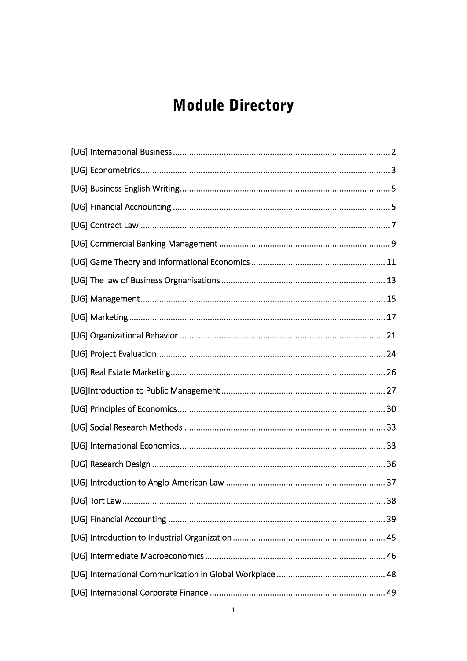# **Module Directory**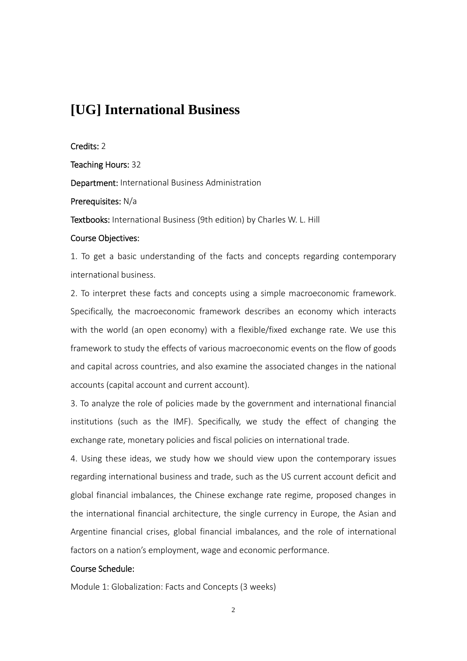# **[UG] International Business**

Credits: 2

Teaching Hours: 32

Department: International Business Administration

Prerequisites: N/a

Textbooks: International Business (9th edition) by Charles W. L. Hill

### Course Objectives:

1. To get a basic understanding of the facts and concepts regarding contemporary international business.

2. To interpret these facts and concepts using a simple macroeconomic framework. Specifically, the macroeconomic framework describes an economy which interacts with the world (an open economy) with a flexible/fixed exchange rate. We use this framework to study the effects of various macroeconomic events on the flow of goods and capital across countries, and also examine the associated changes in the national accounts (capital account and current account).

3. To analyze the role of policies made by the government and international financial institutions (such as the IMF). Specifically, we study the effect of changing the exchange rate, monetary policies and fiscal policies on international trade.

4. Using these ideas, we study how we should view upon the contemporary issues regarding international business and trade, such as the US current account deficit and global financial imbalances, the Chinese exchange rate regime, proposed changes in the international financial architecture, the single currency in Europe, the Asian and Argentine financial crises, global financial imbalances, and the role of international factors on a nation's employment, wage and economic performance.

# Course Schedule:

Module 1: Globalization: Facts and Concepts (3 weeks)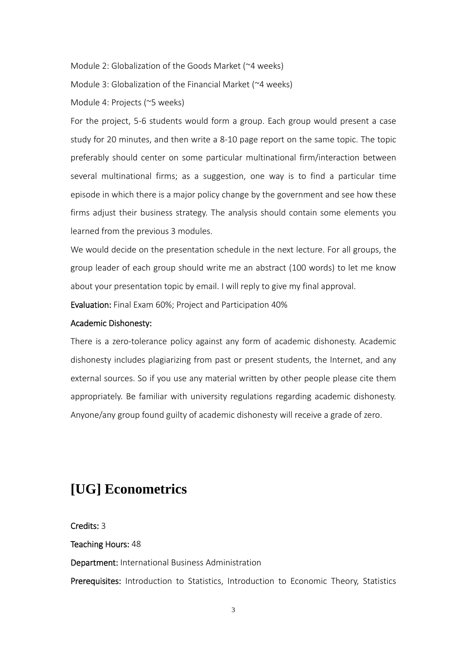Module 2: Globalization of the Goods Market (~4 weeks)

Module 3: Globalization of the Financial Market (~4 weeks)

Module 4: Projects (~5 weeks)

For the project, 5‐6 students would form a group. Each group would present a case study for 20 minutes, and then write a 8‐10 page report on the same topic. The topic preferably should center on some particular multinational firm/interaction between several multinational firms; as a suggestion, one way is to find a particular time episode in which there is a major policy change by the government and see how these firms adjust their business strategy. The analysis should contain some elements you learned from the previous 3 modules.

We would decide on the presentation schedule in the next lecture. For all groups, the group leader of each group should write me an abstract (100 words) to let me know about your presentation topic by email. I will reply to give my final approval.

Evaluation: Final Exam 60%; Project and Participation 40%

# Academic Dishonesty:

There is a zero-tolerance policy against any form of academic dishonesty. Academic dishonesty includes plagiarizing from past or present students, the Internet, and any external sources. So if you use any material written by other people please cite them appropriately. Be familiar with university regulations regarding academic dishonesty. Anyone/any group found guilty of academic dishonesty will receive a grade of zero.

# **[UG] Econometrics**

Credits: 3

# Teaching Hours: 48

Department: International Business Administration

Prerequisites: Introduction to Statistics, Introduction to Economic Theory, Statistics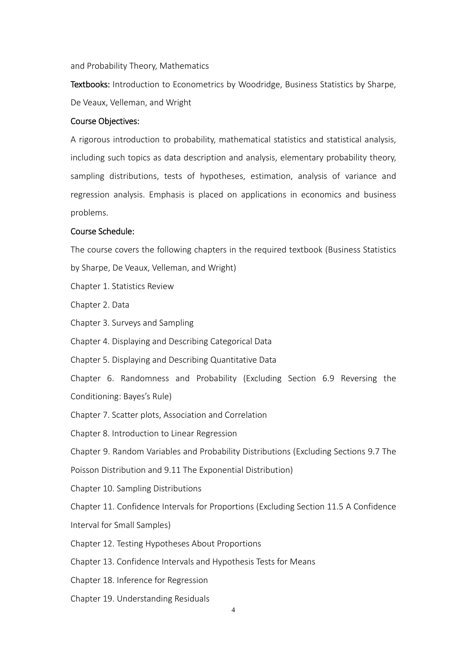and Probability Theory, Mathematics

Textbooks: Introduction to Econometrics by Woodridge, Business Statistics by Sharpe, De Veaux, Velleman, and Wright

#### Course Objectives:

A rigorous introduction to probability, mathematical statistics and statistical analysis, including such topics as data description and analysis, elementary probability theory, sampling distributions, tests of hypotheses, estimation, analysis of variance and regression analysis. Emphasis is placed on applications in economics and business problems.

#### Course Schedule:

The course covers the following chapters in the required textbook (Business Statistics by Sharpe, De Veaux, Velleman, and Wright)

Chapter 1. Statistics Review

Chapter 2. Data

Chapter 3. Surveys and Sampling

Chapter 4. Displaying and Describing Categorical Data

Chapter 5. Displaying and Describing Quantitative Data

Chapter 6. Randomness and Probability (Excluding Section 6.9 Reversing the Conditioning: Bayes's Rule)

Chapter 7. Scatter plots, Association and Correlation

Chapter 8. Introduction to Linear Regression

Chapter 9. Random Variables and Probability Distributions (Excluding Sections 9.7 The

Poisson Distribution and 9.11 The Exponential Distribution)

Chapter 10. Sampling Distributions

Chapter 11. Confidence Intervals for Proportions (Excluding Section 11.5 A Confidence

Interval for Small Samples)

Chapter 12. Testing Hypotheses About Proportions

Chapter 13. Confidence Intervals and Hypothesis Tests for Means

Chapter 18. Inference for Regression

Chapter 19. Understanding Residuals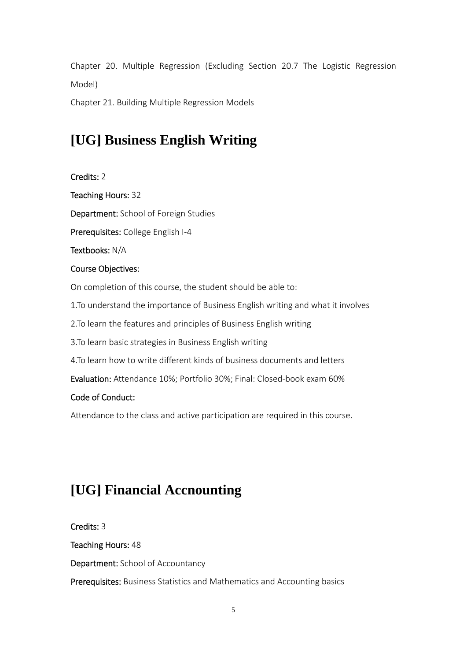Chapter 20. Multiple Regression (Excluding Section 20.7 The Logistic Regression Model)

Chapter 21. Building Multiple Regression Models

# **[UG] Business English Writing**

Credits: 2 Teaching Hours: 32 Department: School of Foreign Studies Prerequisites: College English I‐4 Textbooks: N/A Course Objectives: On completion of this course, the student should be able to: 1.To understand the importance of Business English writing and what it involves 2.To learn the features and principles of Business English writing 3.To learn basic strategies in Business English writing 4.To learn how to write different kinds of business documents and letters Evaluation: Attendance 10%; Portfolio 30%; Final: Closed‐book exam 60% Code of Conduct: Attendance to the class and active participation are required in this course.

# **[UG] Financial Accnounting**

Credits: 3

Teaching Hours: 48

Department: School of Accountancy

Prerequisites: Business Statistics and Mathematics and Accounting basics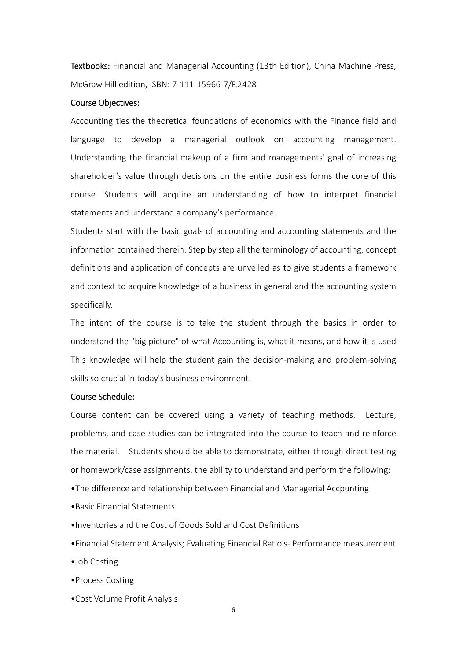Textbooks: Financial and Managerial Accounting (13th Edition), China Machine Press, McGraw Hill edition, ISBN: 7‐111‐15966‐7/F.2428

#### Course Objectives:

Accounting ties the theoretical foundations of economics with the Finance field and language to develop a managerial outlook on accounting management. Understanding the financial makeup of a firm and managements' goal of increasing shareholder's value through decisions on the entire business forms the core of this course. Students will acquire an understanding of how to interpret financial statements and understand a company's performance.

Students start with the basic goals of accounting and accounting statements and the information contained therein. Step by step all the terminology of accounting, concept definitions and application of concepts are unveiled as to give students a framework and context to acquire knowledge of a business in general and the accounting system specifically.

The intent of the course is to take the student through the basics in order to understand the "big picture" of what Accounting is, what it means, and how it is used This knowledge will help the student gain the decision‐making and problem‐solving skills so crucial in today's business environment.

#### Course Schedule:

Course content can be covered using a variety of teaching methods. Lecture, problems, and case studies can be integrated into the course to teach and reinforce the material. Students should be able to demonstrate, either through direct testing or homework/case assignments, the ability to understand and perform the following:

- •The difference and relationship between Financial and Managerial Accpunting
- •Basic Financial Statements
- •Inventories and the Cost of Goods Sold and Cost Definitions
- •Financial Statement Analysis; Evaluating Financial Ratio's‐ Performance measurement
- •Job Costing
- •Process Costing
- •Cost Volume Profit Analysis

6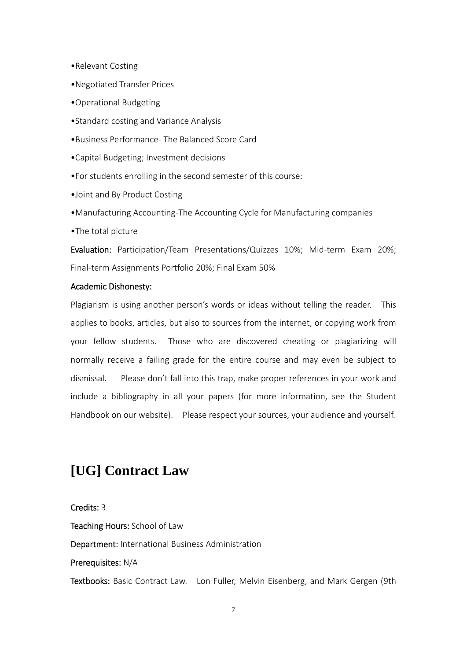- •Relevant Costing
- •Negotiated Transfer Prices
- •Operational Budgeting
- •Standard costing and Variance Analysis
- •Business Performance‐ The Balanced Score Card
- •Capital Budgeting; Investment decisions
- •For students enrolling in the second semester of this course:
- •Joint and By Product Costing
- •Manufacturing Accounting‐The Accounting Cycle for Manufacturing companies
- •The total picture

Evaluation: Participation/Team Presentations/Quizzes 10%; Mid-term Exam 20%; Final‐term Assignments Portfolio 20%; Final Exam 50%

#### Academic Dishonesty:

Plagiarism is using another person's words or ideas without telling the reader. This applies to books, articles, but also to sources from the internet, or copying work from your fellow students. Those who are discovered cheating or plagiarizing will normally receive a failing grade for the entire course and may even be subject to dismissal. Please don't fall into this trap, make proper references in your work and include a bibliography in all your papers (for more information, see the Student Handbook on our website). Please respect your sources, your audience and yourself.

# **[UG] Contract Law**

Credits: 3 Teaching Hours: School of Law Department: International Business Administration Prerequisites: N/A Textbooks: Basic Contract Law. Lon Fuller, Melvin Eisenberg, and Mark Gergen (9th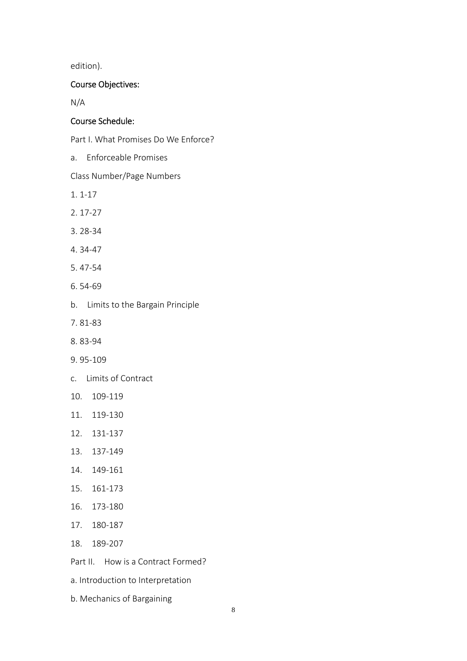edition).

# Course Objectives:

N/A

# Course Schedule:

Part I. What Promises Do We Enforce?

a. Enforceable Promises

Class Number/Page Numbers

- 1. 1‐17
- 2. 17‐27
- 3. 28‐34
- 4. 34‐47
- 5. 47‐54
- 6. 54‐69
- b. Limits to the Bargain Principle
- 7. 81‐83
- 8. 83‐94
- 9. 95‐109
- c. Limits of Contract
- 10. 109‐119
- 11. 119‐130
- 12. 131‐137
- 13. 137‐149
- 14. 149‐161
- 15. 161‐173
- 16. 173‐180
- 17. 180‐187
- 18. 189‐207
- Part II. How is a Contract Formed?
- a. Introduction to Interpretation
- b. Mechanics of Bargaining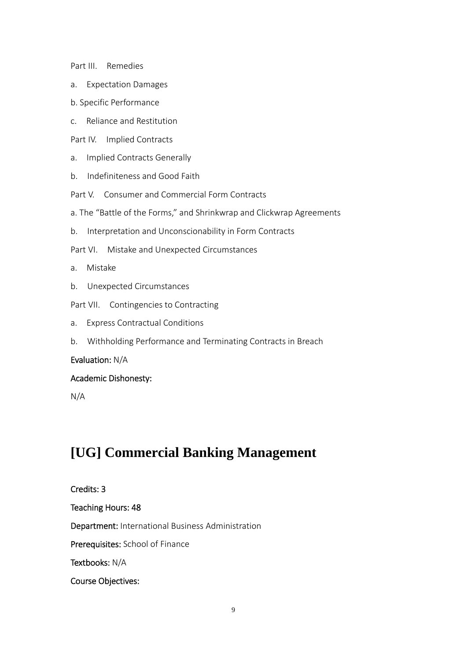Part III. Remedies

- a. Expectation Damages
- b. Specific Performance
- c. Reliance and Restitution
- Part IV. Implied Contracts
- a. Implied Contracts Generally
- b. Indefiniteness and Good Faith
- Part V. Consumer and Commercial Form Contracts
- a. The "Battle of the Forms," and Shrinkwrap and Clickwrap Agreements
- b. Interpretation and Unconscionability in Form Contracts
- Part VI. Mistake and Unexpected Circumstances
- a. Mistake
- b. Unexpected Circumstances
- Part VII. Contingencies to Contracting
- a. Express Contractual Conditions
- b. Withholding Performance and Terminating Contracts in Breach

# Evaluation: N/A

# Academic Dishonesty:

N/A

# **[UG] Commercial Banking Management**

# Credits: 3 Teaching Hours: 48 Department: International Business Administration Prerequisites: School of Finance Textbooks: N/A Course Objectives: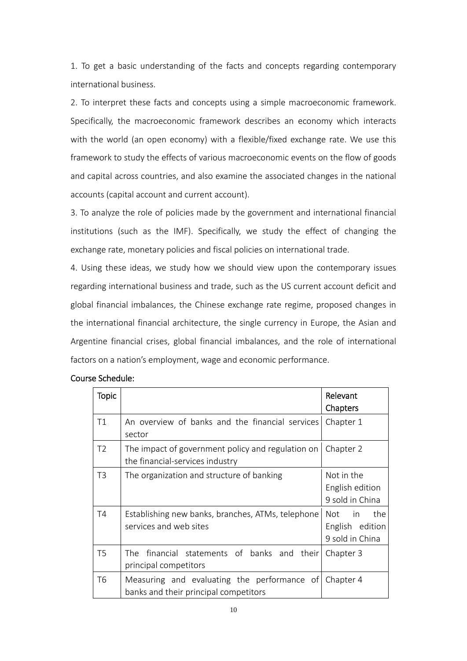1. To get a basic understanding of the facts and concepts regarding contemporary international business.

2. To interpret these facts and concepts using a simple macroeconomic framework. Specifically, the macroeconomic framework describes an economy which interacts with the world (an open economy) with a flexible/fixed exchange rate. We use this framework to study the effects of various macroeconomic events on the flow of goods and capital across countries, and also examine the associated changes in the national accounts (capital account and current account).

3. To analyze the role of policies made by the government and international financial institutions (such as the IMF). Specifically, we study the effect of changing the exchange rate, monetary policies and fiscal policies on international trade.

4. Using these ideas, we study how we should view upon the contemporary issues regarding international business and trade, such as the US current account deficit and global financial imbalances, the Chinese exchange rate regime, proposed changes in the international financial architecture, the single currency in Europe, the Asian and Argentine financial crises, global financial imbalances, and the role of international factors on a nation's employment, wage and economic performance.

| <b>Topic</b>   |                                                                                      | Relevant<br>Chapters                                      |
|----------------|--------------------------------------------------------------------------------------|-----------------------------------------------------------|
| T1             | An overview of banks and the financial services <br>sector                           | Chapter 1                                                 |
| T <sub>2</sub> | The impact of government policy and regulation on<br>the financial-services industry | Chapter 2                                                 |
| T <sub>3</sub> | The organization and structure of banking                                            | Not in the<br>English edition<br>9 sold in China          |
| T4             | Establishing new banks, branches, ATMs, telephone<br>services and web sites          | the<br>in in<br>Not<br>English edition<br>9 sold in China |
| T <sub>5</sub> | The financial statements of banks and<br>their<br>principal competitors              | Chapter 3                                                 |
| T <sub>6</sub> | Measuring and evaluating the performance of<br>banks and their principal competitors | Chapter 4                                                 |

# Course Schedule: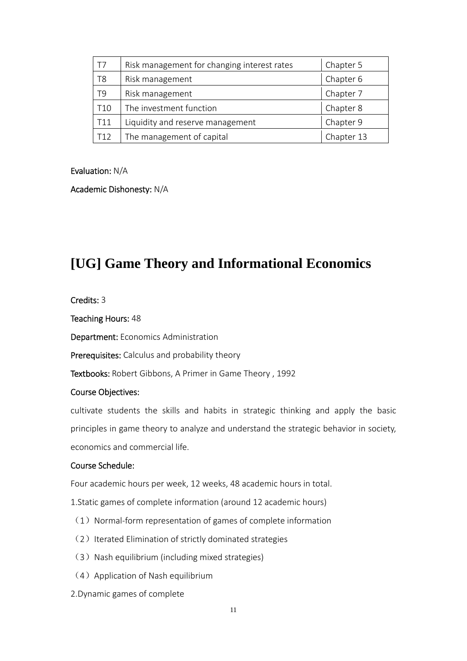| T7              | Risk management for changing interest rates | Chapter 5  |
|-----------------|---------------------------------------------|------------|
| T8              | Risk management                             | Chapter 6  |
| T9              | Risk management                             | Chapter 7  |
| T <sub>10</sub> | The investment function                     | Chapter 8  |
| T11             | Liquidity and reserve management            | Chapter 9  |
| T <sub>12</sub> | The management of capital                   | Chapter 13 |

### Evaluation: N/A

### Academic Dishonesty: N/A

# **[UG] Game Theory and Informational Economics**

### Credits: 3

Teaching Hours: 48

Department: Economics Administration

Prerequisites: Calculus and probability theory

Textbooks: Robert Gibbons, A Primer in Game Theory , 1992

# Course Objectives:

cultivate students the skills and habits in strategic thinking and apply the basic principles in game theory to analyze and understand the strategic behavior in society, economics and commercial life.

# Course Schedule:

Four academic hours per week, 12 weeks, 48 academic hours in total.

1.Static games of complete information (around 12 academic hours)

- $(1)$  Normal-form representation of games of complete information
- (2) Iterated Elimination of strictly dominated strategies
- (3) Nash equilibrium (including mixed strategies)
- (4) Application of Nash equilibrium
- 2.Dynamic games of complete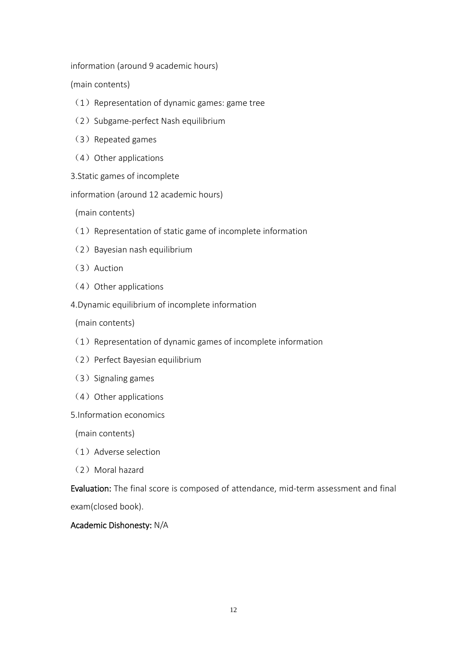information (around 9 academic hours)

(main contents)

- $(1)$  Representation of dynamic games: game tree
- (2) Subgame-perfect Nash equilibrium
- (3) Repeated games
- $(4)$  Other applications
- 3.Static games of incomplete

information (around 12 academic hours)

(main contents)

- $(1)$  Representation of static game of incomplete information
- (2) Bayesian nash equilibrium
- (3)Auction
- $(4)$  Other applications
- 4.Dynamic equilibrium of incomplete information

(main contents)

- $(1)$  Representation of dynamic games of incomplete information
- (2) Perfect Bayesian equilibrium
- (3) Signaling games
- (4) Other applications
- 5.Information economics

(main contents)

- (1)Adverse selection
- (2)Moral hazard

Evaluation: The final score is composed of attendance, mid-term assessment and final exam(closed book).

# Academic Dishonesty: N/A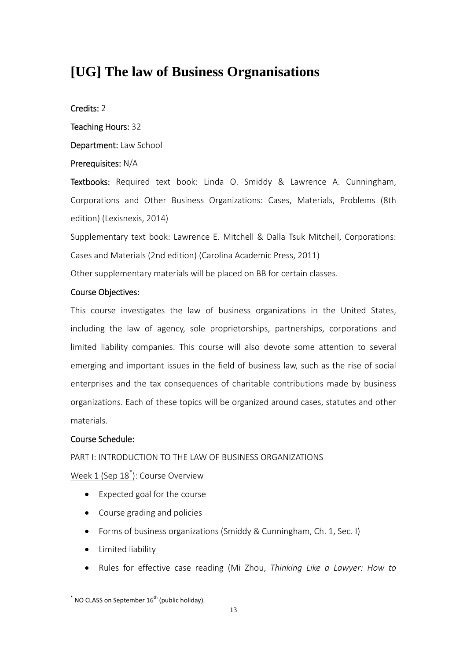# **[UG] The law of Business Orgnanisations**

# Credits: 2

Teaching Hours: 32

Department: Law School

# Prerequisites: N/A

Textbooks: Required text book: Linda O. Smiddy & Lawrence A. Cunningham, Corporations and Other Business Organizations: Cases, Materials, Problems (8th edition) (Lexisnexis, 2014)

Supplementary text book: Lawrence E. Mitchell & Dalla Tsuk Mitchell, Corporations: Cases and Materials (2nd edition) (Carolina Academic Press, 2011)

Other supplementary materials will be placed on BB for certain classes.

# Course Objectives:

This course investigates the law of business organizations in the United States, including the law of agency, sole proprietorships, partnerships, corporations and limited liability companies. This course will also devote some attention to several emerging and important issues in the field of business law, such as the rise of social enterprises and the tax consequences of charitable contributions made by business organizations. Each of these topics will be organized around cases, statutes and other materials.

# Course Schedule:

# PART I: INTRODUCTION TO THE LAW OF BUSINESS ORGANIZATIONS

<u>Week 1 (Sep 18<sup>\*</sup>)</u>: Course Overview

- Expected goal for the course
- Course grading and policies
- Forms of business organizations (Smiddy & Cunningham, Ch. 1, Sec. I)
- Limited liability
- Rules for effective case reading (Mi Zhou, *Thinking Like a Lawyer: How to*

<sup>&</sup>lt;u>.</u>  $\sim$  NO CLASS on September 16<sup>th</sup> (public holiday).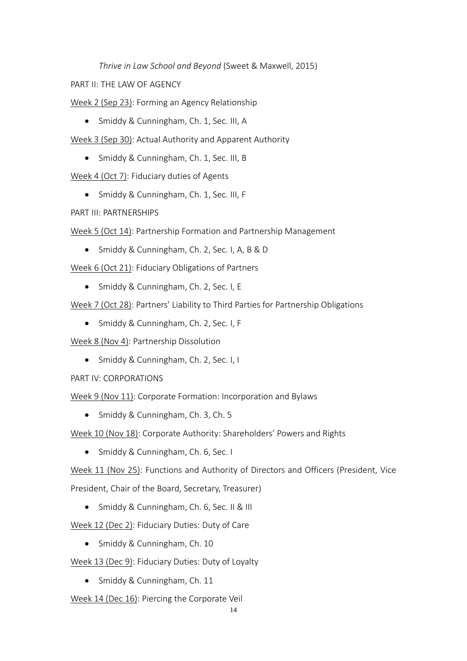*Thrive in Law School and Beyond* (Sweet & Maxwell, 2015)

PART II: THE LAW OF AGENCY

Week 2 (Sep 23): Forming an Agency Relationship

- Smiddy & Cunningham, Ch. 1, Sec. III, A
- Week 3 (Sep 30): Actual Authority and Apparent Authority
	- Smiddy & Cunningham, Ch. 1, Sec. III, B

Week 4 (Oct 7): Fiduciary duties of Agents

• Smiddy & Cunningham, Ch. 1, Sec. III, F

PART III: PARTNERSHIPS

Week 5 (Oct 14): Partnership Formation and Partnership Management

• Smiddy & Cunningham, Ch. 2, Sec. I, A, B & D

Week 6 (Oct 21): Fiduciary Obligations of Partners

• Smiddy & Cunningham, Ch. 2, Sec. I, E

Week 7 (Oct 28): Partners' Liability to Third Parties for Partnership Obligations

• Smiddy & Cunningham, Ch. 2, Sec. I, F

Week 8 (Nov 4): Partnership Dissolution

• Smiddy & Cunningham, Ch. 2, Sec. I, I

PART IV: CORPORATIONS

Week 9 (Nov 11): Corporate Formation: Incorporation and Bylaws

• Smiddy & Cunningham, Ch. 3, Ch. 5

Week 10 (Nov 18): Corporate Authority: Shareholders' Powers and Rights

• Smiddy & Cunningham, Ch. 6, Sec. I

Week 11 (Nov 25): Functions and Authority of Directors and Officers (President, Vice President, Chair of the Board, Secretary, Treasurer)

• Smiddy & Cunningham, Ch. 6, Sec. II & III

Week 12 (Dec 2): Fiduciary Duties: Duty of Care

• Smiddy & Cunningham, Ch. 10

Week 13 (Dec 9): Fiduciary Duties: Duty of Loyalty

• Smiddy & Cunningham, Ch. 11

Week 14 (Dec 16): Piercing the Corporate Veil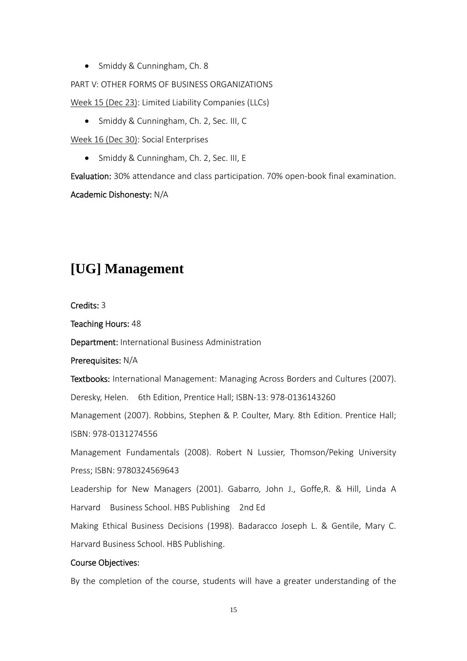• Smiddy & Cunningham, Ch. 8

PART V: OTHER FORMS OF BUSINESS ORGANIZATIONS

Week 15 (Dec 23): Limited Liability Companies (LLCs)

• Smiddy & Cunningham, Ch. 2, Sec. III, C

Week 16 (Dec 30): Social Enterprises

• Smiddy & Cunningham, Ch. 2, Sec. III, E

Evaluation: 30% attendance and class participation. 70% open-book final examination.

Academic Dishonesty: N/A

# **[UG] Management**

Credits: 3

Teaching Hours: 48

Department: International Business Administration

Prerequisites: N/A

Textbooks: International Management: Managing Across Borders and Cultures (2007).

Deresky, Helen. 6th Edition, Prentice Hall; ISBN-13: 978-0136143260

Management (2007). Robbins, Stephen & P. Coulter, Mary. 8th Edition. Prentice Hall; ISBN: 978‐0131274556

Management Fundamentals (2008). Robert N Lussier, Thomson/Peking University Press; ISBN: 9780324569643

Leadership for New Managers (2001). Gabarro, John J., Goffe,R. & Hill, Linda A Harvard Business School. HBS Publishing 2nd Ed

Making Ethical Business Decisions (1998). Badaracco Joseph L. & Gentile, Mary C. Harvard Business School. HBS Publishing.

# Course Objectives:

By the completion of the course, students will have a greater understanding of the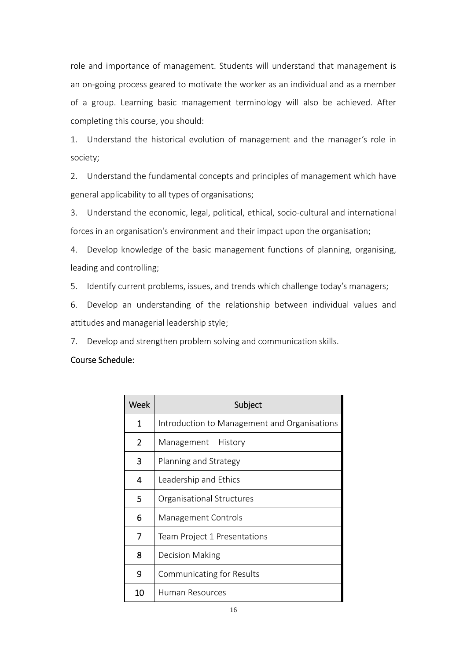role and importance of management. Students will understand that management is an on‐going process geared to motivate the worker as an individual and as a member of a group. Learning basic management terminology will also be achieved. After completing this course, you should:

1. Understand the historical evolution of management and the manager's role in society;

2. Understand the fundamental concepts and principles of management which have general applicability to all types of organisations;

3. Understand the economic, legal, political, ethical, socio-cultural and international forces in an organisation's environment and their impact upon the organisation;

4. Develop knowledge of the basic management functions of planning, organising, leading and controlling;

5. Identify current problems, issues, and trends which challenge today's managers;

6. Develop an understanding of the relationship between individual values and attitudes and managerial leadership style;

7. Develop and strengthen problem solving and communication skills.

# Course Schedule:

| Week           | Subject                                      |
|----------------|----------------------------------------------|
| 1              | Introduction to Management and Organisations |
| $\overline{2}$ | History<br>Management                        |
| 3              | Planning and Strategy                        |
| 4              | Leadership and Ethics                        |
| 5.             | Organisational Structures                    |
| 6              | <b>Management Controls</b>                   |
| 7              | Team Project 1 Presentations                 |
| 8              | Decision Making                              |
| 9              | Communicating for Results                    |
| 10             | Human Resources                              |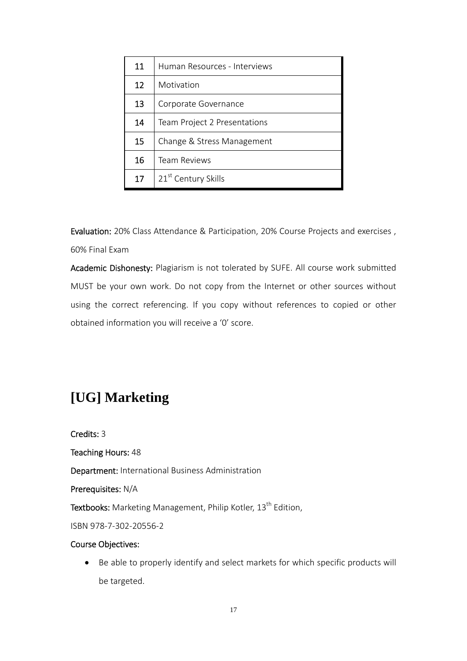| 11 | Human Resources - Interviews    |
|----|---------------------------------|
| 12 | Motivation                      |
| 13 | Corporate Governance            |
| 14 | Team Project 2 Presentations    |
| 15 | Change & Stress Management      |
| 16 | Team Reviews                    |
| 17 | 21 <sup>st</sup> Century Skills |

Evaluation: 20% Class Attendance & Participation, 20% Course Projects and exercises , 60% Final Exam

Academic Dishonesty: Plagiarism is not tolerated by SUFE. All course work submitted MUST be your own work. Do not copy from the Internet or other sources without using the correct referencing. If you copy without references to copied or other obtained information you will receive a '0' score.

# **[UG] Marketing**

Credits: 3 Teaching Hours: 48 Department: International Business Administration Prerequisites: N/A Textbooks: Marketing Management, Philip Kotler, 13<sup>th</sup> Edition, ISBN 978‐7‐302‐20556‐2 Course Objectives:

 Be able to properly identify and select markets for which specific products will be targeted.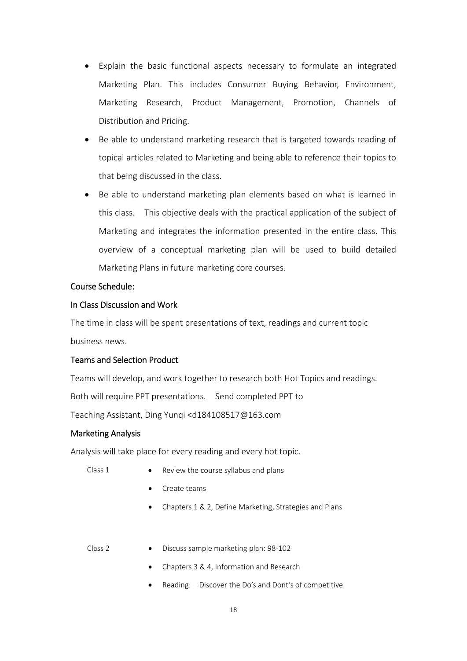- Explain the basic functional aspects necessary to formulate an integrated Marketing Plan. This includes Consumer Buying Behavior, Environment, Marketing Research, Product Management, Promotion, Channels of Distribution and Pricing.
- Be able to understand marketing research that is targeted towards reading of topical articles related to Marketing and being able to reference their topics to that being discussed in the class.
- Be able to understand marketing plan elements based on what is learned in this class. This objective deals with the practical application of the subject of Marketing and integrates the information presented in the entire class. This overview of a conceptual marketing plan will be used to build detailed Marketing Plans in future marketing core courses.

### Course Schedule:

### In Class Discussion and Work

The time in class will be spent presentations of text, readings and current topic business news.

# Teams and Selection Product

Teams will develop, and work together to research both Hot Topics and readings.

Both will require PPT presentations. Send completed PPT to

Teaching Assistant, Ding Yunqi <d184108517@163.com

# Marketing Analysis

Analysis will take place for every reading and every hot topic.

- Class 1  $\bullet$  Review the course syllabus and plans
	- Create teams
	- Chapters 1 & 2, Define Marketing, Strategies and Plans
- Class 2 Discuss sample marketing plan: 98-102
	- Chapters 3 & 4, Information and Research
	- Reading: Discover the Do's and Dont's of competitive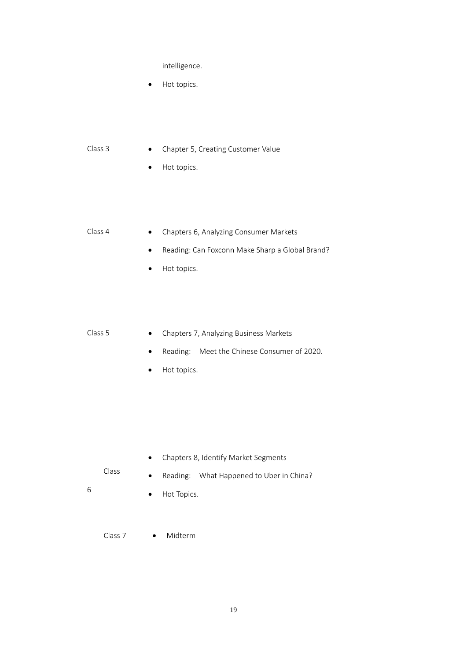intelligence.

- Hot topics.
- Class 3 Chapter 5, Creating Customer Value
	- Hot topics.
- Class 4 Chapters 6, Analyzing Consumer Markets
	- Reading: Can Foxconn Make Sharp a Global Brand?
	- Hot topics.
- Class 5 Chapters 7, Analyzing Business Markets
	- Reading: Meet the Chinese Consumer of 2020.
	- Hot topics.

- Chapters 8, Identify Market Segments
- Class
- Reading: What Happened to Uber in China?
- 6
- Hot Topics.
- Class 7 **.** Midterm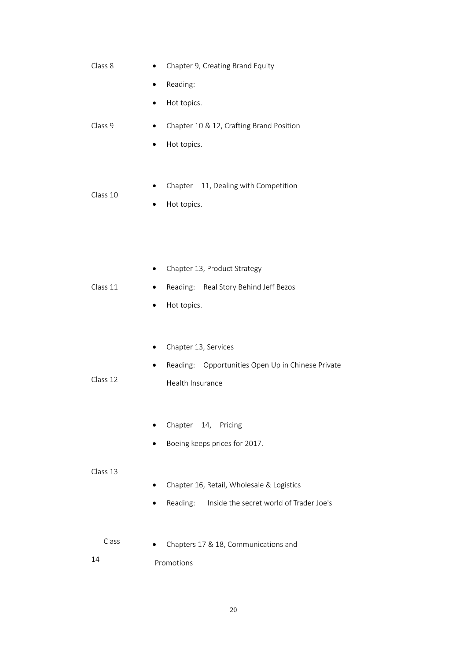| Class 8  | Chapter 9, Creating Brand Equity                       |
|----------|--------------------------------------------------------|
|          | Reading:                                               |
|          | Hot topics.<br>$\bullet$                               |
| Class 9  | Chapter 10 & 12, Crafting Brand Position<br>$\bullet$  |
|          | Hot topics.<br>٠                                       |
|          |                                                        |
| Class 10 | Chapter 11, Dealing with Competition                   |
|          | Hot topics.                                            |
|          |                                                        |
|          |                                                        |
|          | Chapter 13, Product Strategy                           |
| Class 11 | Reading: Real Story Behind Jeff Bezos<br>٠             |
|          | Hot topics.                                            |
|          |                                                        |
|          | Chapter 13, Services<br>٠                              |
|          | Reading: Opportunities Open Up in Chinese Private<br>٠ |
| Class 12 | Health Insurance                                       |
|          |                                                        |
|          | Chapter 14, Pricing                                    |
|          | Boeing keeps prices for 2017.                          |
| Class 13 |                                                        |
|          | Chapter 16, Retail, Wholesale & Logistics              |
|          | Inside the secret world of Trader Joe's<br>Reading:    |
| Class    |                                                        |
|          | Chapters 17 & 18, Communications and                   |
| 14       | Promotions                                             |

20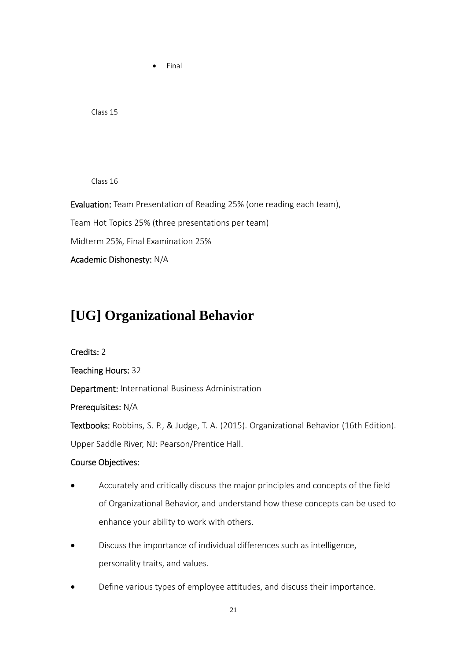Class 15

Class 16

Evaluation: Team Presentation of Reading 25% (one reading each team),

Team Hot Topics 25% (three presentations per team)

Final

Midterm 25%, Final Examination 25%

Academic Dishonesty: N/A

# **[UG] Organizational Behavior**

Credits: 2 Teaching Hours: 32 Department: International Business Administration Prerequisites: N/A Textbooks: Robbins, S. P., & Judge, T. A. (2015). Organizational Behavior (16th Edition). Upper Saddle River, NJ: Pearson/Prentice Hall.

# Course Objectives:

- Accurately and critically discuss the major principles and concepts of the field of Organizational Behavior, and understand how these concepts can be used to enhance your ability to work with others.
- Discuss the importance of individual differences such as intelligence, personality traits, and values.
- Define various types of employee attitudes, and discuss their importance.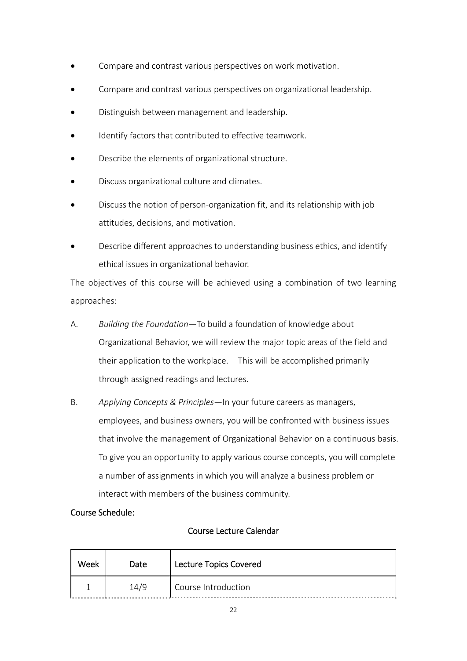- Compare and contrast various perspectives on work motivation.
- Compare and contrast various perspectives on organizational leadership.
- Distinguish between management and leadership.
- Identify factors that contributed to effective teamwork.
- Describe the elements of organizational structure.
- Discuss organizational culture and climates.
- Discuss the notion of person‐organization fit, and its relationship with job attitudes, decisions, and motivation.
- Describe different approaches to understanding business ethics, and identify ethical issues in organizational behavior.

The objectives of this course will be achieved using a combination of two learning approaches:

- A. *Building the Foundation*—To build a foundation of knowledge about Organizational Behavior, we will review the major topic areas of the field and their application to the workplace. This will be accomplished primarily through assigned readings and lectures.
- B. *Applying Concepts & Principles*—In your future careers as managers, employees, and business owners, you will be confronted with business issues that involve the management of Organizational Behavior on a continuous basis. To give you an opportunity to apply various course concepts, you will complete a number of assignments in which you will analyze a business problem or interact with members of the business community.

# Course Schedule:

# Course Lecture Calendar

| Week | Date | <b>Lecture Topics Covered</b> |
|------|------|-------------------------------|
|      | 14/9 | Course Introduction           |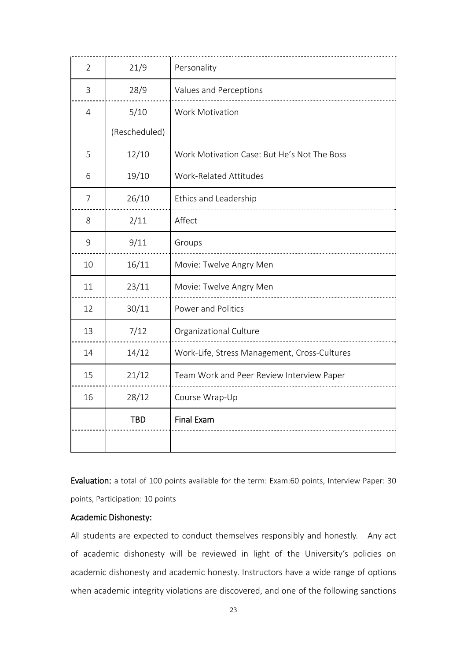| $\overline{2}$ | 21/9          | Personality                                  |
|----------------|---------------|----------------------------------------------|
| 3              | 28/9          | Values and Perceptions                       |
| $\overline{4}$ | 5/10          | Work Motivation                              |
|                | (Rescheduled) |                                              |
| 5              | 12/10         | Work Motivation Case: But He's Not The Boss  |
| 6              | 19/10         | Work-Related Attitudes                       |
| 7              | 26/10         | Ethics and Leadership                        |
| 8              | 2/11          | Affect                                       |
| 9              | 9/11          | Groups                                       |
| 10             | 16/11         | Movie: Twelve Angry Men                      |
| 11             | 23/11         | Movie: Twelve Angry Men                      |
| 12             | 30/11         | Power and Politics                           |
| 13             | 7/12          | Organizational Culture                       |
| 14             | 14/12         | Work-Life, Stress Management, Cross-Cultures |
| 15             | 21/12         | Team Work and Peer Review Interview Paper    |
| 16             | 28/12         | Course Wrap-Up                               |
|                | <b>TBD</b>    | <b>Final Exam</b>                            |
|                |               |                                              |

Evaluation: a total of 100 points available for the term: Exam:60 points, Interview Paper: 30 points, Participation: 10 points

### Academic Dishonesty:

All students are expected to conduct themselves responsibly and honestly. Any act of academic dishonesty will be reviewed in light of the University's policies on academic dishonesty and academic honesty. Instructors have a wide range of options when academic integrity violations are discovered, and one of the following sanctions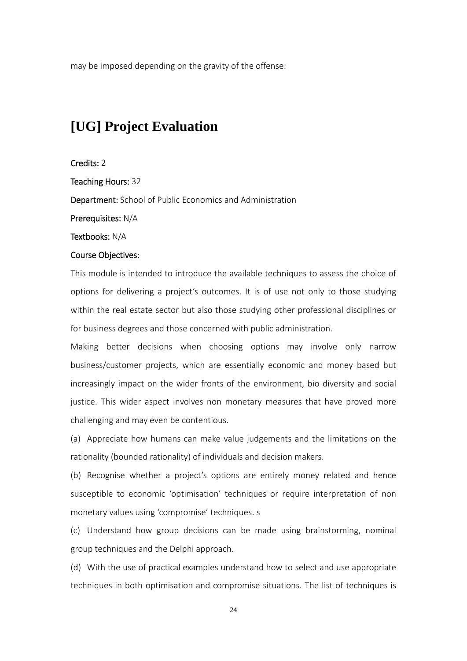may be imposed depending on the gravity of the offense:

# **[UG] Project Evaluation**

#### Credits: 2

Teaching Hours: 32

Department: School of Public Economics and Administration

Prerequisites: N/A

Textbooks: N/A

#### Course Objectives:

This module is intended to introduce the available techniques to assess the choice of options for delivering a project's outcomes. It is of use not only to those studying within the real estate sector but also those studying other professional disciplines or for business degrees and those concerned with public administration.

Making better decisions when choosing options may involve only narrow business/customer projects, which are essentially economic and money based but increasingly impact on the wider fronts of the environment, bio diversity and social justice. This wider aspect involves non monetary measures that have proved more challenging and may even be contentious.

(a) Appreciate how humans can make value judgements and the limitations on the rationality (bounded rationality) of individuals and decision makers.

(b) Recognise whether a project's options are entirely money related and hence susceptible to economic 'optimisation' techniques or require interpretation of non monetary values using 'compromise' techniques. s

(c) Understand how group decisions can be made using brainstorming, nominal group techniques and the Delphi approach.

(d) With the use of practical examples understand how to select and use appropriate techniques in both optimisation and compromise situations. The list of techniques is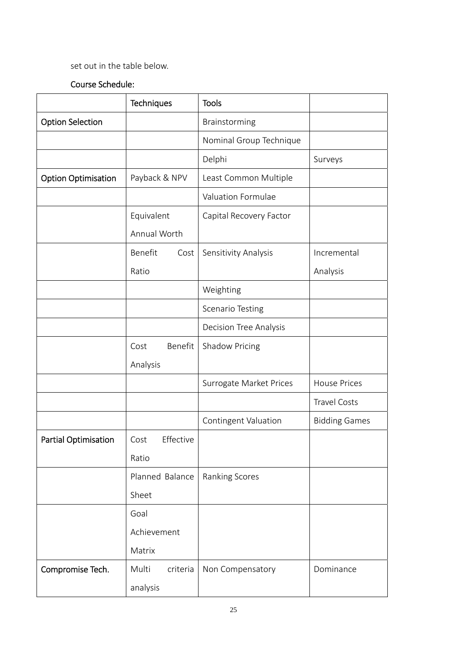# set out in the table below.

# Course Schedule:

|                             | Techniques        | <b>Tools</b>                  |                      |
|-----------------------------|-------------------|-------------------------------|----------------------|
| <b>Option Selection</b>     |                   | Brainstorming                 |                      |
|                             |                   | Nominal Group Technique       |                      |
|                             |                   | Delphi                        | Surveys              |
| <b>Option Optimisation</b>  | Payback & NPV     | Least Common Multiple         |                      |
|                             |                   | Valuation Formulae            |                      |
|                             | Equivalent        | Capital Recovery Factor       |                      |
|                             | Annual Worth      |                               |                      |
|                             | Benefit<br>Cost   | Sensitivity Analysis          | Incremental          |
|                             | Ratio             |                               | Analysis             |
|                             |                   | Weighting                     |                      |
|                             |                   | <b>Scenario Testing</b>       |                      |
|                             |                   | <b>Decision Tree Analysis</b> |                      |
|                             | Benefit<br>Cost   | <b>Shadow Pricing</b>         |                      |
|                             | Analysis          |                               |                      |
|                             |                   | Surrogate Market Prices       | <b>House Prices</b>  |
|                             |                   |                               | <b>Travel Costs</b>  |
|                             |                   | Contingent Valuation          | <b>Bidding Games</b> |
| <b>Partial Optimisation</b> | Effective<br>Cost |                               |                      |
|                             | Ratio             |                               |                      |
|                             | Planned Balance   | Ranking Scores                |                      |
|                             | Sheet             |                               |                      |
|                             | Goal              |                               |                      |
|                             | Achievement       |                               |                      |
|                             | Matrix            |                               |                      |
| Compromise Tech.            | Multi<br>criteria | Non Compensatory              | Dominance            |
|                             | analysis          |                               |                      |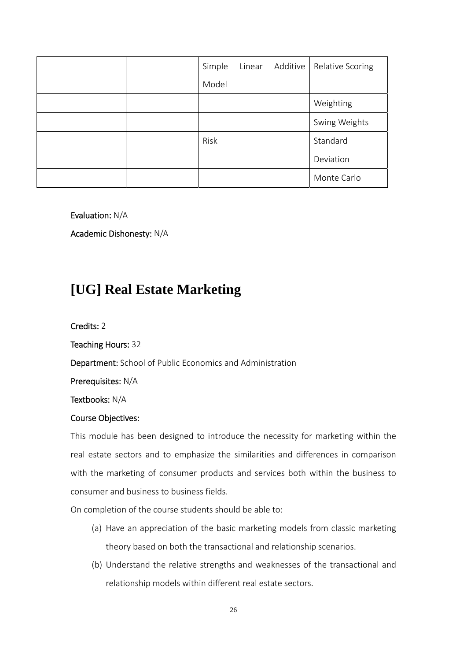|  | Simple | Linear Additive | Relative Scoring |
|--|--------|-----------------|------------------|
|  | Model  |                 |                  |
|  |        |                 | Weighting        |
|  |        |                 | Swing Weights    |
|  | Risk   |                 | Standard         |
|  |        |                 | Deviation        |
|  |        |                 | Monte Carlo      |

Evaluation: N/A

Academic Dishonesty: N/A

# **[UG] Real Estate Marketing**

Credits: 2

Teaching Hours: 32

Department: School of Public Economics and Administration

Prerequisites: N/A

Textbooks: N/A

### Course Objectives:

This module has been designed to introduce the necessity for marketing within the real estate sectors and to emphasize the similarities and differences in comparison with the marketing of consumer products and services both within the business to consumer and business to business fields.

On completion of the course students should be able to:

- (a) Have an appreciation of the basic marketing models from classic marketing theory based on both the transactional and relationship scenarios.
- (b) Understand the relative strengths and weaknesses of the transactional and relationship models within different real estate sectors.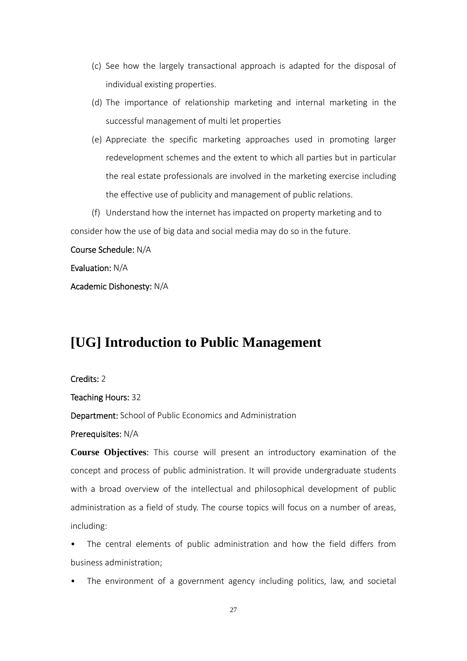- (c) See how the largely transactional approach is adapted for the disposal of individual existing properties.
- (d) The importance of relationship marketing and internal marketing in the successful management of multi let properties
- (e) Appreciate the specific marketing approaches used in promoting larger redevelopment schemes and the extent to which all parties but in particular the real estate professionals are involved in the marketing exercise including the effective use of publicity and management of public relations.
- (f) Understand how the internet has impacted on property marketing and to

consider how the use of big data and social media may do so in the future.

### Course Schedule: N/A

Evaluation: N/A

Academic Dishonesty: N/A

# **[UG] Introduction to Public Management**

#### Credits: 2

Teaching Hours: 32

Department: School of Public Economics and Administration

#### Prerequisites: N/A

**Course Objectives**: This course will present an introductory examination of the concept and process of public administration. It will provide undergraduate students with a broad overview of the intellectual and philosophical development of public administration as a field of study. The course topics will focus on a number of areas, including:

The central elements of public administration and how the field differs from business administration;

The environment of a government agency including politics, law, and societal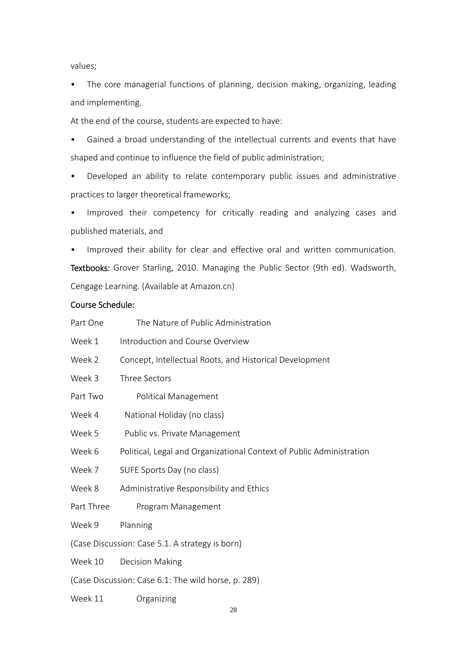values;

• The core managerial functions of planning, decision making, organizing, leading and implementing.

At the end of the course, students are expected to have:

• Gained a broad understanding of the intellectual currents and events that have shaped and continue to influence the field of public administration;

• Developed an ability to relate contemporary public issues and administrative practices to larger theoretical frameworks;

• Improved their competency for critically reading and analyzing cases and published materials, and

• Improved their ability for clear and effective oral and written communication. Textbooks: Grover Starling, 2010. Managing the Public Sector (9th ed). Wadsworth, Cengage Learning. (Available at Amazon.cn)

# Course Schedule:

| Part One   | The Nature of Public Administration                                  |  |
|------------|----------------------------------------------------------------------|--|
| Week 1     | Introduction and Course Overview                                     |  |
| Week 2     | Concept, Intellectual Roots, and Historical Development              |  |
| Week 3     | Three Sectors                                                        |  |
| Part Two   | Political Management                                                 |  |
| Week 4     | National Holiday (no class)                                          |  |
| Week 5     | Public vs. Private Management                                        |  |
| Week 6     | Political, Legal and Organizational Context of Public Administration |  |
| Week 7     | SUFE Sports Day (no class)                                           |  |
| Week 8     | Administrative Responsibility and Ethics                             |  |
| Part Three | Program Management                                                   |  |
| Week 9     | Planning                                                             |  |
|            | (Case Discussion: Case 5.1. A strategy is born)                      |  |
| Week 10    | <b>Decision Making</b>                                               |  |
|            | (Case Discussion: Case 6.1: The wild horse, p. 289)                  |  |
| Week 11    | Organizing                                                           |  |

28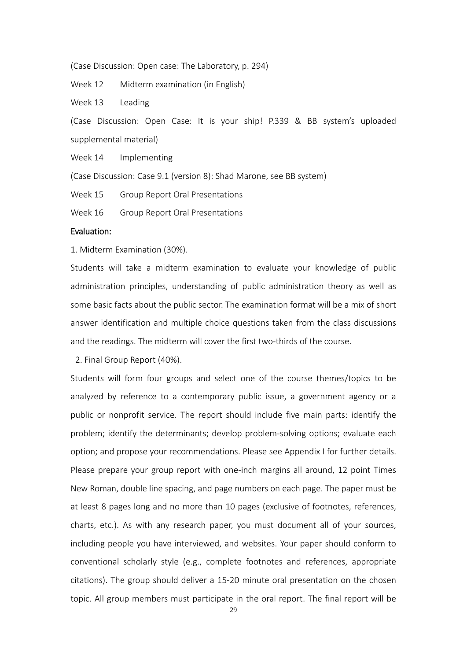(Case Discussion: Open case: The Laboratory, p. 294)

Week 12 Midterm examination (in English)

Week 13 Leading

(Case Discussion: Open Case: It is your ship! P.339 & BB system's uploaded supplemental material)

Week 14 Implementing

(Case Discussion: Case 9.1 (version 8): Shad Marone, see BB system)

Week 15 Group Report Oral Presentations

Week 16 Group Report Oral Presentations

#### Evaluation:

1. Midterm Examination (30%).

Students will take a midterm examination to evaluate your knowledge of public administration principles, understanding of public administration theory as well as some basic facts about the public sector. The examination format will be a mix of short answer identification and multiple choice questions taken from the class discussions and the readings. The midterm will cover the first two-thirds of the course.

2. Final Group Report (40%).

Students will form four groups and select one of the course themes/topics to be analyzed by reference to a contemporary public issue, a government agency or a public or nonprofit service. The report should include five main parts: identify the problem; identify the determinants; develop problem-solving options; evaluate each option; and propose your recommendations. Please see Appendix I for further details. Please prepare your group report with one‐inch margins all around, 12 point Times New Roman, double line spacing, and page numbers on each page. The paper must be at least 8 pages long and no more than 10 pages (exclusive of footnotes, references, charts, etc.). As with any research paper, you must document all of your sources, including people you have interviewed, and websites. Your paper should conform to conventional scholarly style (e.g., complete footnotes and references, appropriate citations). The group should deliver a 15‐20 minute oral presentation on the chosen topic. All group members must participate in the oral report. The final report will be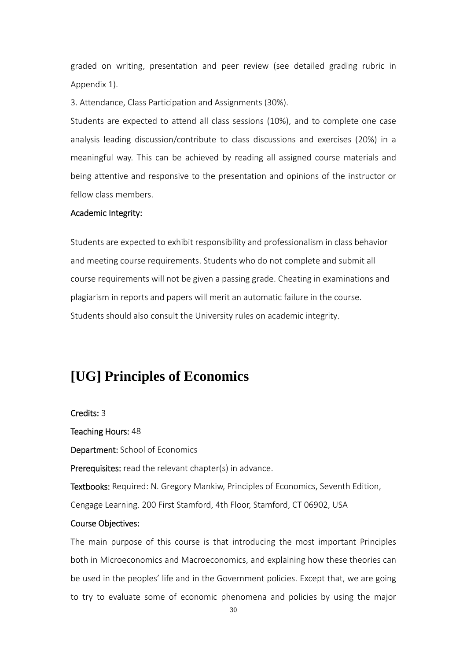graded on writing, presentation and peer review (see detailed grading rubric in Appendix 1).

3. Attendance, Class Participation and Assignments (30%).

Students are expected to attend all class sessions (10%), and to complete one case analysis leading discussion/contribute to class discussions and exercises (20%) in a meaningful way. This can be achieved by reading all assigned course materials and being attentive and responsive to the presentation and opinions of the instructor or fellow class members.

#### Academic Integrity:

Students are expected to exhibit responsibility and professionalism in class behavior and meeting course requirements. Students who do not complete and submit all course requirements will not be given a passing grade. Cheating in examinations and plagiarism in reports and papers will merit an automatic failure in the course. Students should also consult the University rules on academic integrity.

# **[UG] Principles of Economics**

Credits: 3

Teaching Hours: 48

Department: School of Economics

Prerequisites: read the relevant chapter(s) in advance.

Textbooks: Required: N. Gregory Mankiw, Principles of Economics, Seventh Edition,

Cengage Learning. 200 First Stamford, 4th Floor, Stamford, CT 06902, USA

#### Course Objectives:

The main purpose of this course is that introducing the most important Principles both in Microeconomics and Macroeconomics, and explaining how these theories can be used in the peoples' life and in the Government policies. Except that, we are going to try to evaluate some of economic phenomena and policies by using the major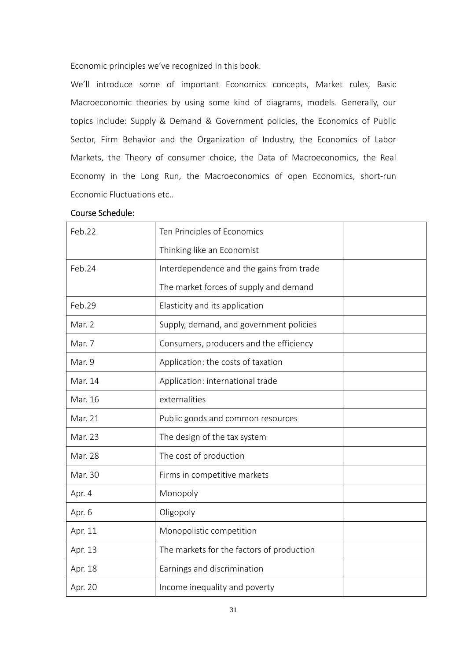Economic principles we've recognized in this book.

We'll introduce some of important Economics concepts, Market rules, Basic Macroeconomic theories by using some kind of diagrams, models. Generally, our topics include: Supply & Demand & Government policies, the Economics of Public Sector, Firm Behavior and the Organization of Industry, the Economics of Labor Markets, the Theory of consumer choice, the Data of Macroeconomics, the Real Economy in the Long Run, the Macroeconomics of open Economics, short‐run Economic Fluctuations etc..

| Feb.22  | Ten Principles of Economics               |
|---------|-------------------------------------------|
|         | Thinking like an Economist                |
| Feb.24  | Interdependence and the gains from trade  |
|         | The market forces of supply and demand    |
| Feb.29  | Elasticity and its application            |
| Mar. 2  | Supply, demand, and government policies   |
| Mar. 7  | Consumers, producers and the efficiency   |
| Mar. 9  | Application: the costs of taxation        |
| Mar. 14 | Application: international trade          |
| Mar. 16 | externalities                             |
| Mar. 21 | Public goods and common resources         |
| Mar. 23 | The design of the tax system              |
| Mar. 28 | The cost of production                    |
| Mar. 30 | Firms in competitive markets              |
| Apr. 4  | Monopoly                                  |
| Apr. 6  | Oligopoly                                 |
| Apr. 11 | Monopolistic competition                  |
| Apr. 13 | The markets for the factors of production |
| Apr. 18 | Earnings and discrimination               |
| Apr. 20 | Income inequality and poverty             |

# Course Schedule: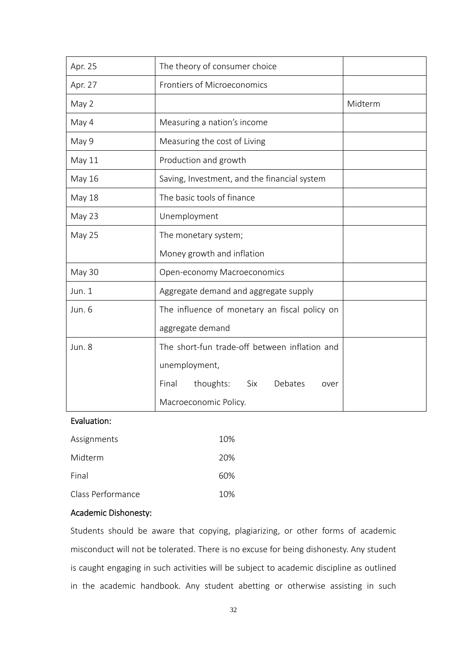| Apr. 25       | The theory of consumer choice                 |
|---------------|-----------------------------------------------|
| Apr. 27       | Frontiers of Microeconomics                   |
| May 2         | Midterm                                       |
| May 4         | Measuring a nation's income                   |
| May 9         | Measuring the cost of Living                  |
| May 11        | Production and growth                         |
| May 16        | Saving, Investment, and the financial system  |
| <b>May 18</b> | The basic tools of finance                    |
| May 23        | Unemployment                                  |
| May 25        | The monetary system;                          |
|               | Money growth and inflation                    |
| May 30        | Open-economy Macroeconomics                   |
| Jun. 1        | Aggregate demand and aggregate supply         |
| Jun. 6        | The influence of monetary an fiscal policy on |
|               | aggregate demand                              |
| Jun. 8        | The short-fun trade-off between inflation and |
|               | unemployment,                                 |
|               | thoughts:<br>Final<br>Six<br>Debates<br>over  |
|               | Macroeconomic Policy.                         |

### Evaluation:

| Assignments       | 10% |
|-------------------|-----|
| Midterm           | 20% |
| Final             | 60% |
| Class Performance | 10% |

### Academic Dishonesty:

Students should be aware that copying, plagiarizing, or other forms of academic misconduct will not be tolerated. There is no excuse for being dishonesty. Any student is caught engaging in such activities will be subject to academic discipline as outlined in the academic handbook. Any student abetting or otherwise assisting in such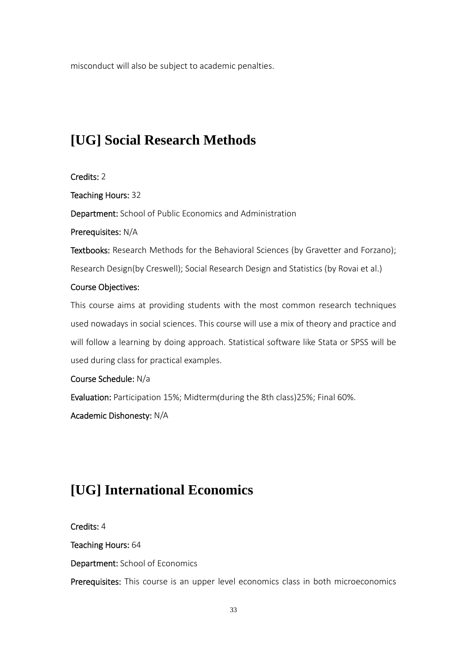misconduct will also be subject to academic penalties.

# **[UG] Social Research Methods**

Credits: 2

Teaching Hours: 32

Department: School of Public Economics and Administration

Prerequisites: N/A

Textbooks: Research Methods for the Behavioral Sciences (by Gravetter and Forzano); Research Design(by Creswell); Social Research Design and Statistics (by Rovai et al.)

# Course Objectives:

This course aims at providing students with the most common research techniques used nowadays in social sciences. This course will use a mix of theory and practice and will follow a learning by doing approach. Statistical software like Stata or SPSS will be used during class for practical examples.

Course Schedule: N/a

Evaluation: Participation 15%; Midterm(during the 8th class)25%; Final 60%.

Academic Dishonesty: N/A

# **[UG] International Economics**

Credits: 4

Teaching Hours: 64

Department: School of Economics

Prerequisites: This course is an upper level economics class in both microeconomics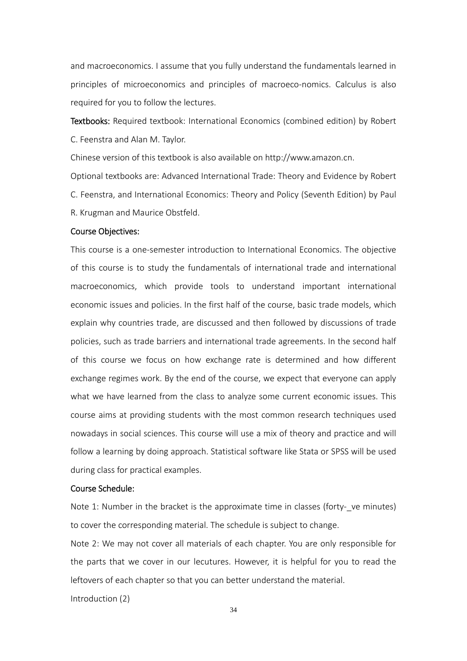and macroeconomics. I assume that you fully understand the fundamentals learned in principles of microeconomics and principles of macroeco-nomics. Calculus is also required for you to follow the lectures.

Textbooks: Required textbook: International Economics (combined edition) by Robert C. Feenstra and Alan M. Taylor.

Chinese version of this textbook is also available on http://www.amazon.cn.

Optional textbooks are: Advanced International Trade: Theory and Evidence by Robert C. Feenstra, and International Economics: Theory and Policy (Seventh Edition) by Paul R. Krugman and Maurice Obstfeld.

#### Course Objectives:

This course is a one‐semester introduction to International Economics. The objective of this course is to study the fundamentals of international trade and international macroeconomics, which provide tools to understand important international economic issues and policies. In the first half of the course, basic trade models, which explain why countries trade, are discussed and then followed by discussions of trade policies, such as trade barriers and international trade agreements. In the second half of this course we focus on how exchange rate is determined and how different exchange regimes work. By the end of the course, we expect that everyone can apply what we have learned from the class to analyze some current economic issues. This course aims at providing students with the most common research techniques used nowadays in social sciences. This course will use a mix of theory and practice and will follow a learning by doing approach. Statistical software like Stata or SPSS will be used during class for practical examples.

#### Course Schedule:

Introduction (2)

Note 1: Number in the bracket is the approximate time in classes (forty- ve minutes) to cover the corresponding material. The schedule is subject to change.

Note 2: We may not cover all materials of each chapter. You are only responsible for the parts that we cover in our lecutures. However, it is helpful for you to read the leftovers of each chapter so that you can better understand the material.

34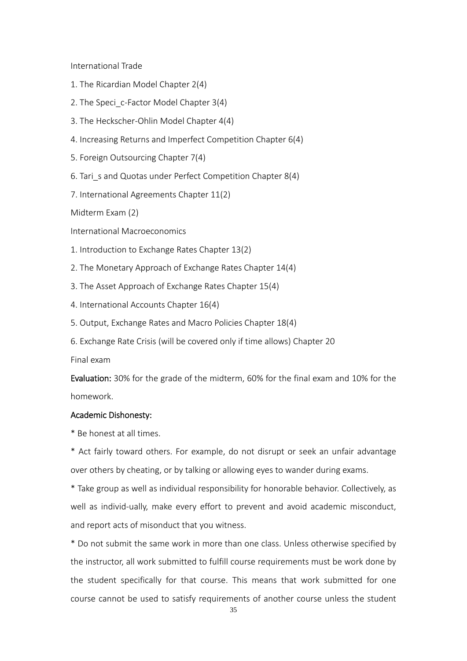International Trade

- 1. The Ricardian Model Chapter 2(4)
- 2. The Speci c-Factor Model Chapter 3(4)
- 3. The Heckscher‐Ohlin Model Chapter 4(4)
- 4. Increasing Returns and Imperfect Competition Chapter 6(4)
- 5. Foreign Outsourcing Chapter 7(4)
- 6. Tari s and Quotas under Perfect Competition Chapter 8(4)
- 7. International Agreements Chapter 11(2)

Midterm Exam (2)

International Macroeconomics

- 1. Introduction to Exchange Rates Chapter 13(2)
- 2. The Monetary Approach of Exchange Rates Chapter 14(4)
- 3. The Asset Approach of Exchange Rates Chapter 15(4)
- 4. International Accounts Chapter 16(4)
- 5. Output, Exchange Rates and Macro Policies Chapter 18(4)
- 6. Exchange Rate Crisis (will be covered only if time allows) Chapter 20

Final exam

Evaluation: 30% for the grade of the midterm, 60% for the final exam and 10% for the homework.

#### Academic Dishonesty:

\* Be honest at all times.

\* Act fairly toward others. For example, do not disrupt or seek an unfair advantage over others by cheating, or by talking or allowing eyes to wander during exams.

\* Take group as well as individual responsibility for honorable behavior. Collectively, as well as individ-ually, make every effort to prevent and avoid academic misconduct, and report acts of misonduct that you witness.

\* Do not submit the same work in more than one class. Unless otherwise specified by the instructor, all work submitted to fulfill course requirements must be work done by the student specifically for that course. This means that work submitted for one course cannot be used to satisfy requirements of another course unless the student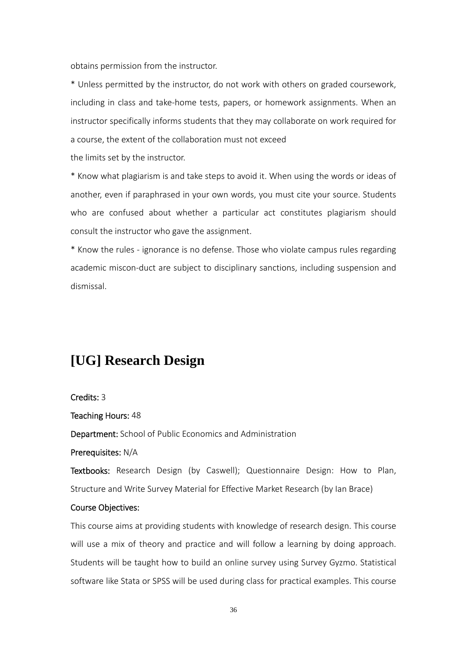obtains permission from the instructor.

\* Unless permitted by the instructor, do not work with others on graded coursework, including in class and take‐home tests, papers, or homework assignments. When an instructor specifically informs students that they may collaborate on work required for a course, the extent of the collaboration must not exceed

the limits set by the instructor.

\* Know what plagiarism is and take steps to avoid it. When using the words or ideas of another, even if paraphrased in your own words, you must cite your source. Students who are confused about whether a particular act constitutes plagiarism should consult the instructor who gave the assignment.

\* Know the rules ‐ ignorance is no defense. Those who violate campus rules regarding academic miscon‐duct are subject to disciplinary sanctions, including suspension and dismissal.

# **[UG] Research Design**

#### Credits: 3

Teaching Hours: 48

Department: School of Public Economics and Administration

Prerequisites: N/A

Textbooks: Research Design (by Caswell); Questionnaire Design: How to Plan, Structure and Write Survey Material for Effective Market Research (by Ian Brace)

#### Course Objectives:

This course aims at providing students with knowledge of research design. This course will use a mix of theory and practice and will follow a learning by doing approach. Students will be taught how to build an online survey using Survey Gyzmo. Statistical software like Stata or SPSS will be used during class for practical examples. This course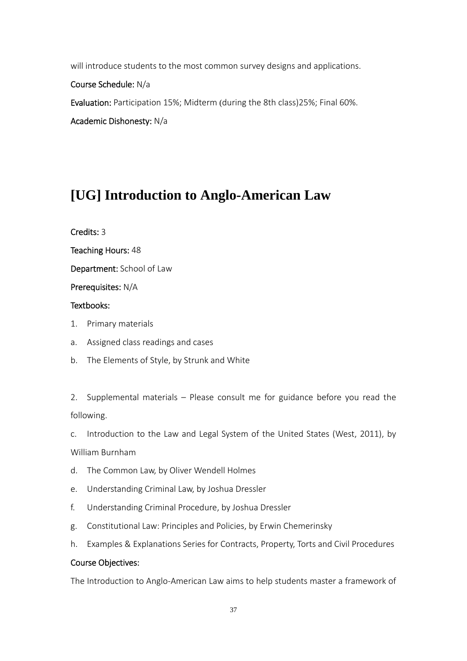will introduce students to the most common survey designs and applications.

Course Schedule: N/a

Evaluation: Participation 15%; Midterm (during the 8th class)25%; Final 60%.

Academic Dishonesty: N/a

# **[UG] Introduction to Anglo-American Law**

Credits: 3

Teaching Hours: 48

Department: School of Law

Prerequisites: N/A

# Textbooks:

- 1. Primary materials
- a. Assigned class readings and cases
- b. The Elements of Style, by Strunk and White

2. Supplemental materials – Please consult me for guidance before you read the following.

c. Introduction to the Law and Legal System of the United States (West, 2011), by

William Burnham

- d. The Common Law, by Oliver Wendell Holmes
- e. Understanding Criminal Law, by Joshua Dressler
- f. Understanding Criminal Procedure, by Joshua Dressler
- g. Constitutional Law: Principles and Policies, by Erwin Chemerinsky
- h. Examples & Explanations Series for Contracts, Property, Torts and Civil Procedures

# Course Objectives:

The Introduction to Anglo‐American Law aims to help students master a framework of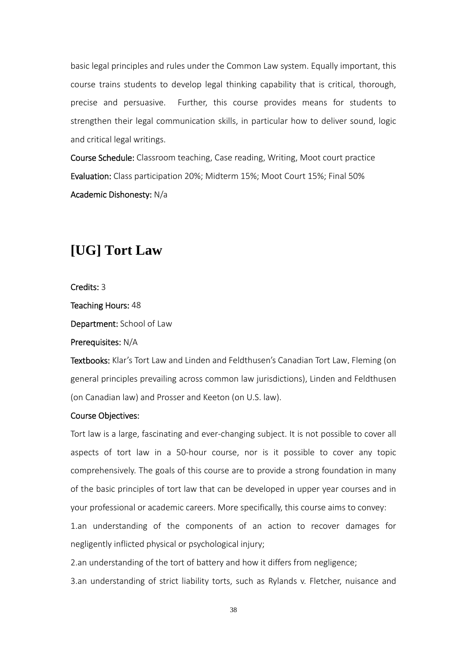basic legal principles and rules under the Common Law system. Equally important, this course trains students to develop legal thinking capability that is critical, thorough, precise and persuasive. Further, this course provides means for students to strengthen their legal communication skills, in particular how to deliver sound, logic and critical legal writings.

Course Schedule: Classroom teaching, Case reading, Writing, Moot court practice Evaluation: Class participation 20%; Midterm 15%; Moot Court 15%; Final 50% Academic Dishonesty: N/a

# **[UG] Tort Law**

Credits: 3

Teaching Hours: 48

Department: School of Law

Prerequisites: N/A

Textbooks: Klar's Tort Law and Linden and Feldthusen's Canadian Tort Law. Fleming (on general principles prevailing across common law jurisdictions), Linden and Feldthusen (on Canadian law) and Prosser and Keeton (on U.S. law).

### Course Objectives:

Tort law is a large, fascinating and ever‐changing subject. It is not possible to cover all aspects of tort law in a 50‐hour course, nor is it possible to cover any topic comprehensively. The goals of this course are to provide a strong foundation in many of the basic principles of tort law that can be developed in upper year courses and in your professional or academic careers. More specifically, this course aims to convey:

1.an understanding of the components of an action to recover damages for negligently inflicted physical or psychological injury;

2.an understanding of the tort of battery and how it differs from negligence;

3.an understanding of strict liability torts, such as Rylands v. Fletcher, nuisance and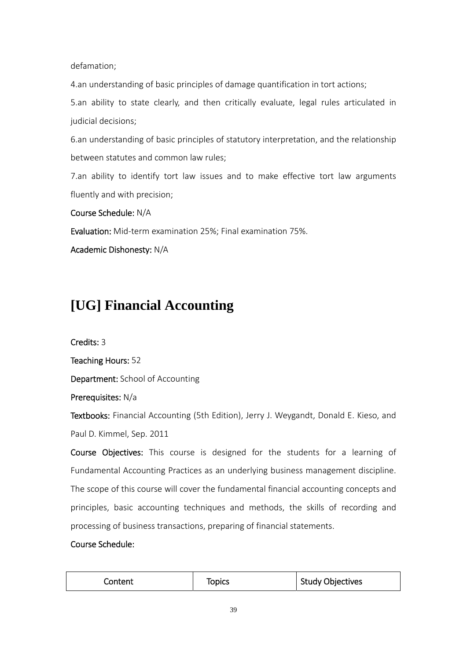defamation;

4.an understanding of basic principles of damage quantification in tort actions;

5.an ability to state clearly, and then critically evaluate, legal rules articulated in judicial decisions;

6.an understanding of basic principles of statutory interpretation, and the relationship between statutes and common law rules;

7.an ability to identify tort law issues and to make effective tort law arguments fluently and with precision;

Course Schedule: N/A

Evaluation: Mid‐term examination 25%; Final examination 75%.

Academic Dishonesty: N/A

# **[UG] Financial Accounting**

Credits: 3

Teaching Hours: 52

Department: School of Accounting

Prerequisites: N/a

Textbooks: Financial Accounting (5th Edition), Jerry J. Weygandt, Donald E. Kieso, and Paul D. Kimmel, Sep. 2011

Course Objectives: This course is designed for the students for a learning of Fundamental Accounting Practices as an underlying business management discipline. The scope of this course will cover the fundamental financial accounting concepts and principles, basic accounting techniques and methods, the skills of recording and processing of business transactions, preparing of financial statements.

# Course Schedule:

| Content | Topics | <b>Study Objectives</b> |
|---------|--------|-------------------------|
|---------|--------|-------------------------|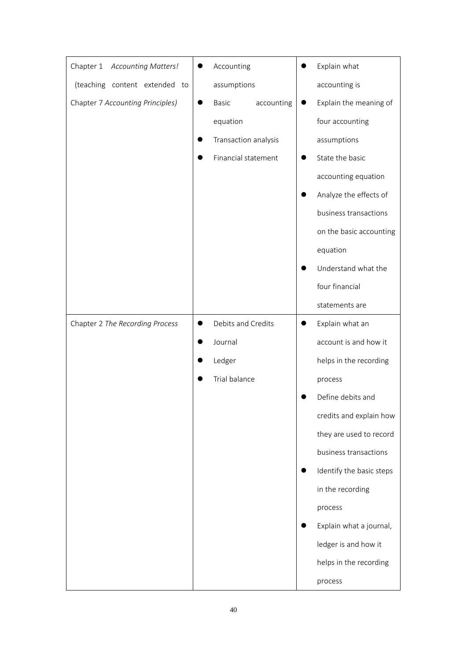| <b>Accounting Matters!</b><br>Chapter 1 |           | Accounting           |           | Explain what             |
|-----------------------------------------|-----------|----------------------|-----------|--------------------------|
| (teaching content extended to           |           | assumptions          |           | accounting is            |
| Chapter 7 Accounting Principles)        |           | Basic<br>accounting  |           | Explain the meaning of   |
|                                         |           | equation             |           | four accounting          |
|                                         |           | Transaction analysis |           | assumptions              |
|                                         |           | Financial statement  |           | State the basic          |
|                                         |           |                      |           | accounting equation      |
|                                         |           |                      |           | Analyze the effects of   |
|                                         |           |                      |           | business transactions    |
|                                         |           |                      |           | on the basic accounting  |
|                                         |           |                      |           | equation                 |
|                                         |           |                      |           | Understand what the      |
|                                         |           |                      |           | four financial           |
|                                         |           |                      |           | statements are           |
| Chapter 2 The Recording Process         | $\bullet$ | Debits and Credits   | $\bullet$ | Explain what an          |
|                                         |           | Journal              |           | account is and how it    |
|                                         |           | Ledger               |           | helps in the recording   |
|                                         |           | Trial balance        |           | process                  |
|                                         |           |                      |           | Define debits and        |
|                                         |           |                      |           | credits and explain how  |
|                                         |           |                      |           | they are used to record  |
|                                         |           |                      |           | business transactions    |
|                                         |           |                      |           | Identify the basic steps |
|                                         |           |                      |           | in the recording         |
|                                         |           |                      |           | process                  |
|                                         |           |                      |           | Explain what a journal,  |
|                                         |           |                      |           | ledger is and how it     |
|                                         |           |                      |           | helps in the recording   |
|                                         |           |                      |           | process                  |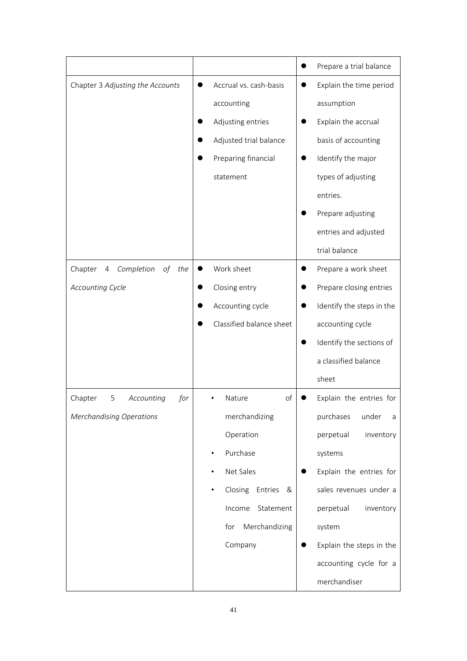|                                                   |                              | Prepare a trial balance       |
|---------------------------------------------------|------------------------------|-------------------------------|
| Chapter 3 Adjusting the Accounts                  | Accrual vs. cash-basis       | Explain the time period       |
|                                                   | accounting                   | assumption                    |
|                                                   | Adjusting entries            | Explain the accrual           |
|                                                   | Adjusted trial balance       | basis of accounting           |
|                                                   | Preparing financial          | Identify the major            |
|                                                   | statement                    | types of adjusting            |
|                                                   |                              | entries.                      |
|                                                   |                              | Prepare adjusting             |
|                                                   |                              | entries and adjusted          |
|                                                   |                              | trial balance                 |
| Completion<br>Chapter<br>of the<br>$\overline{4}$ | Work sheet                   | Prepare a work sheet<br>0     |
| <b>Accounting Cycle</b>                           | Closing entry                | Prepare closing entries       |
|                                                   | Accounting cycle             | Identify the steps in the     |
|                                                   | Classified balance sheet     | accounting cycle              |
|                                                   |                              | Identify the sections of      |
|                                                   |                              | a classified balance          |
|                                                   |                              | sheet                         |
| 5<br>Accounting<br>Chapter<br>for                 | Nature<br>of                 | Explain the entries for       |
| <b>Merchandising Operations</b>                   | merchandizing                | purchases<br>under<br>a       |
|                                                   | Operation                    | perpetual<br>inventory        |
|                                                   | Purchase                     | systems                       |
|                                                   | Net Sales                    | Explain the entries for       |
|                                                   | Closing<br>Entries<br>&<br>٠ | sales revenues under a        |
|                                                   | Statement<br>Income          | perpetual<br>inventory        |
|                                                   | Merchandizing<br>for         | system                        |
|                                                   | Company                      | Explain the steps in the<br>● |
|                                                   |                              | accounting cycle for a        |
|                                                   |                              | merchandiser                  |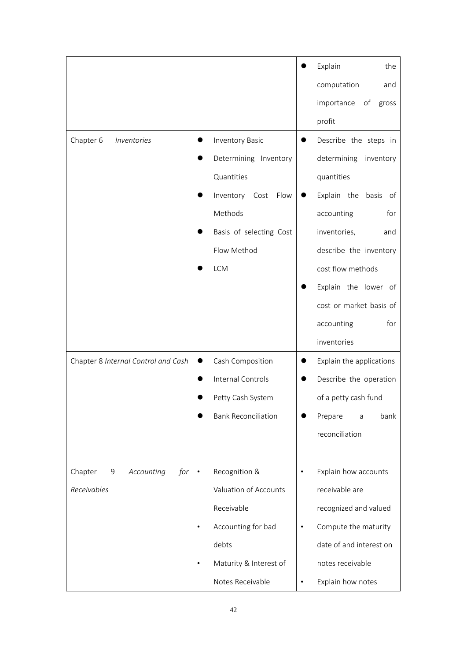|                                     |                                     |           | Explain<br>the            |
|-------------------------------------|-------------------------------------|-----------|---------------------------|
|                                     |                                     |           | computation<br>and        |
|                                     |                                     |           | importance<br>of<br>gross |
|                                     |                                     |           | profit                    |
| Chapter 6<br>Inventories            | <b>Inventory Basic</b><br>$\bullet$ | $\bullet$ | Describe the steps in     |
|                                     | Determining Inventory<br>$\bullet$  |           | determining inventory     |
|                                     | Quantities                          |           | quantities                |
|                                     | Inventory Cost<br>Flow              |           | Explain the basis of      |
|                                     | Methods                             |           | accounting<br>for         |
|                                     | Basis of selecting Cost             |           | inventories,<br>and       |
|                                     | Flow Method                         |           | describe the inventory    |
|                                     | <b>LCM</b>                          |           | cost flow methods         |
|                                     |                                     |           | Explain the lower of      |
|                                     |                                     |           | cost or market basis of   |
|                                     |                                     |           | for<br>accounting         |
|                                     |                                     |           | inventories               |
| Chapter 8 Internal Control and Cash | Cash Composition<br>$\bullet$       | $\bullet$ | Explain the applications  |
|                                     | Internal Controls<br>$\bullet$      | 0         | Describe the operation    |
|                                     | Petty Cash System                   |           | of a petty cash fund      |
|                                     | <b>Bank Reconciliation</b>          |           | bank<br>Prepare<br>a      |
|                                     |                                     |           | reconciliation            |
|                                     |                                     |           |                           |
| Chapter<br>Accounting<br>for<br>9   | Recognition &<br>$\bullet$          | $\bullet$ | Explain how accounts      |
| Receivables                         | Valuation of Accounts               |           | receivable are            |
|                                     | Receivable                          |           | recognized and valued     |
|                                     | Accounting for bad                  | $\bullet$ | Compute the maturity      |
|                                     | debts                               |           | date of and interest on   |
|                                     | Maturity & Interest of              |           | notes receivable          |
|                                     | Notes Receivable                    | $\bullet$ | Explain how notes         |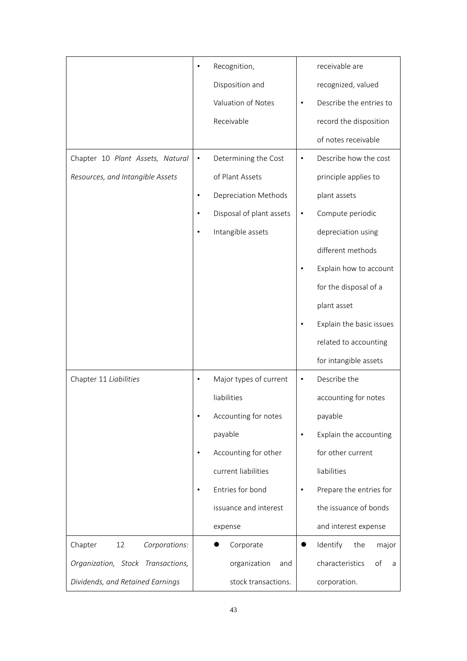|                                   | Recognition,                        | receivable are                       |
|-----------------------------------|-------------------------------------|--------------------------------------|
|                                   | Disposition and                     | recognized, valued                   |
|                                   | Valuation of Notes                  | Describe the entries to<br>٠         |
|                                   | Receivable                          | record the disposition               |
|                                   |                                     | of notes receivable                  |
| Chapter 10 Plant Assets, Natural  | Determining the Cost<br>$\bullet$   | Describe how the cost<br>$\bullet$   |
| Resources, and Intangible Assets  | of Plant Assets                     | principle applies to                 |
|                                   | Depreciation Methods<br>$\bullet$   | plant assets                         |
|                                   | Disposal of plant assets<br>٠       | Compute periodic<br>$\bullet$        |
|                                   | Intangible assets<br>$\bullet$      | depreciation using                   |
|                                   |                                     | different methods                    |
|                                   |                                     | Explain how to account               |
|                                   |                                     | for the disposal of a                |
|                                   |                                     | plant asset                          |
|                                   |                                     | Explain the basic issues             |
|                                   |                                     | related to accounting                |
|                                   |                                     | for intangible assets                |
| Chapter 11 Liabilities            | Major types of current<br>$\bullet$ | Describe the<br>$\bullet$            |
|                                   | liabilities                         | accounting for notes                 |
|                                   | Accounting for notes<br>٠           | payable                              |
|                                   | payable                             | Explain the accounting<br>$\bullet$  |
|                                   | Accounting for other<br>$\bullet$   | for other current                    |
|                                   | current liabilities                 | liabilities                          |
|                                   | Entries for bond<br>٠               | Prepare the entries for<br>$\bullet$ |
|                                   | issuance and interest               | the issuance of bonds                |
|                                   | expense                             | and interest expense                 |
| Corporations:<br>Chapter<br>12    | Corporate                           | Identify<br>the<br>major             |
| Organization, Stock Transactions, | organization<br>and                 | characteristics<br>of<br>a           |
| Dividends, and Retained Earnings  | stock transactions.                 | corporation.                         |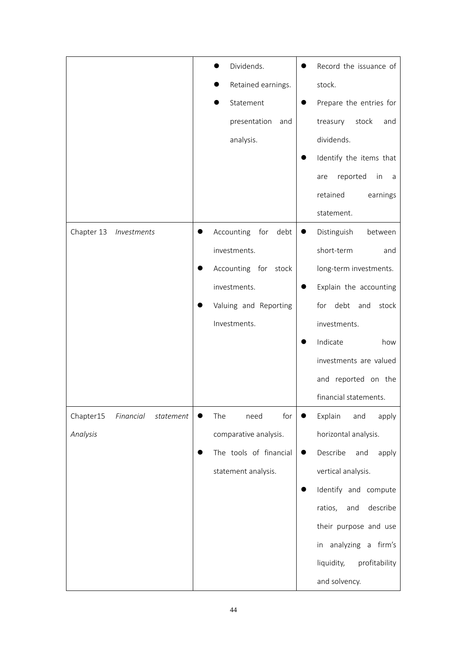|                                     | Dividends.                 | Record the issuance of                |
|-------------------------------------|----------------------------|---------------------------------------|
|                                     | Retained earnings.         | stock.                                |
|                                     | Statement                  | Prepare the entries for               |
|                                     | presentation<br>and        | stock<br>treasury<br>and              |
|                                     | analysis.                  | dividends.                            |
|                                     |                            | Identify the items that               |
|                                     |                            | reported<br>in<br>are<br>a            |
|                                     |                            | retained<br>earnings                  |
|                                     |                            | statement.                            |
| Chapter 13<br>Investments           | Accounting<br>debt<br>for  | Distinguish<br>between<br>$\bullet$   |
|                                     | investments.               | short-term<br>and                     |
|                                     | Accounting for stock       | long-term investments.                |
|                                     | investments.               | Explain the accounting                |
|                                     | Valuing and Reporting<br>● | for debt and<br>stock                 |
|                                     | Investments.               | investments.                          |
|                                     |                            | Indicate<br>how                       |
|                                     |                            | investments are valued                |
|                                     |                            | and reported on the                   |
|                                     |                            | financial statements.                 |
| Chapter15<br>Financial<br>statement | for<br>The<br>need         | Explain<br>and<br>apply               |
| Analysis                            | comparative analysis.      | horizontal analysis.                  |
|                                     | The tools of financial     | Describe<br>and<br>apply<br>$\bullet$ |
|                                     | statement analysis.        | vertical analysis.                    |
|                                     |                            | Identify and compute                  |
|                                     |                            | describe<br>ratios,<br>and            |
|                                     |                            | their purpose and use                 |
|                                     |                            | in analyzing a firm's                 |
|                                     |                            | liquidity,<br>profitability           |
|                                     |                            | and solvency.                         |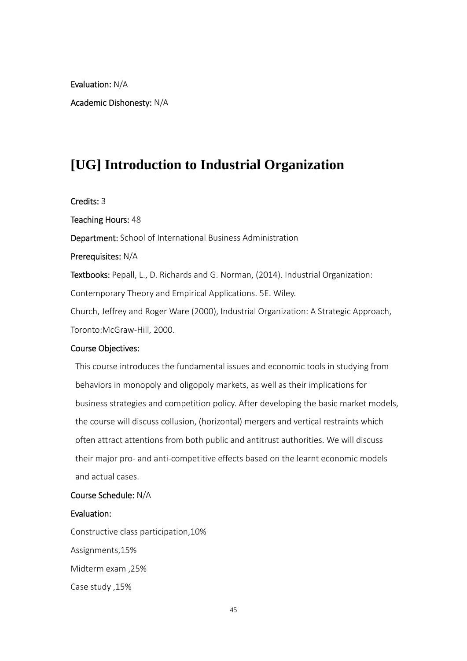Evaluation: N/A

Academic Dishonesty: N/A

# **[UG] Introduction to Industrial Organization**

Credits: 3

Teaching Hours: 48

Department: School of International Business Administration

Prerequisites: N/A

Textbooks: Pepall, L., D. Richards and G. Norman, (2014). Industrial Organization: Contemporary Theory and Empirical Applications. 5E. Wiley. Church, Jeffrey and Roger Ware (2000), Industrial Organization: A Strategic Approach,

Toronto:McGraw‐Hill, 2000.

#### Course Objectives:

 This course introduces the fundamental issues and economic tools in studying from behaviors in monopoly and oligopoly markets, as well as their implications for business strategies and competition policy. After developing the basic market models, the course will discuss collusion, (horizontal) mergers and vertical restraints which often attract attentions from both public and antitrust authorities. We will discuss their major pro‐ and anti‐competitive effects based on the learnt economic models and actual cases.

# Course Schedule: N/A

### Evaluation:

Constructive class participation,10% Assignments,15% Midterm exam ,25% Case study ,15%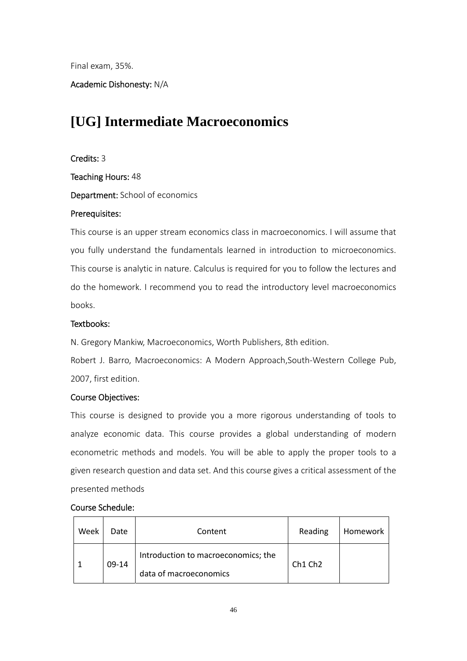Final exam, 35%.

Academic Dishonesty: N/A

# **[UG] Intermediate Macroeconomics**

# Credits: 3

Teaching Hours: 48

Department: School of economics

# Prerequisites:

This course is an upper stream economics class in macroeconomics. I will assume that you fully understand the fundamentals learned in introduction to microeconomics. This course is analytic in nature. Calculus is required for you to follow the lectures and do the homework. I recommend you to read the introductory level macroeconomics books.

# Textbooks:

N. Gregory Mankiw, Macroeconomics, Worth Publishers, 8th edition.

Robert J. Barro, Macroeconomics: A Modern Approach,South‐Western College Pub, 2007, first edition.

# Course Objectives:

This course is designed to provide you a more rigorous understanding of tools to analyze economic data. This course provides a global understanding of modern econometric methods and models. You will be able to apply the proper tools to a given research question and data set. And this course gives a critical assessment of the presented methods

# Course Schedule:

| Week | Date  | Content                             | Reading | Homework |
|------|-------|-------------------------------------|---------|----------|
|      | 09-14 | Introduction to macroeconomics; the | Ch1 Ch2 |          |
|      |       | data of macroeconomics              |         |          |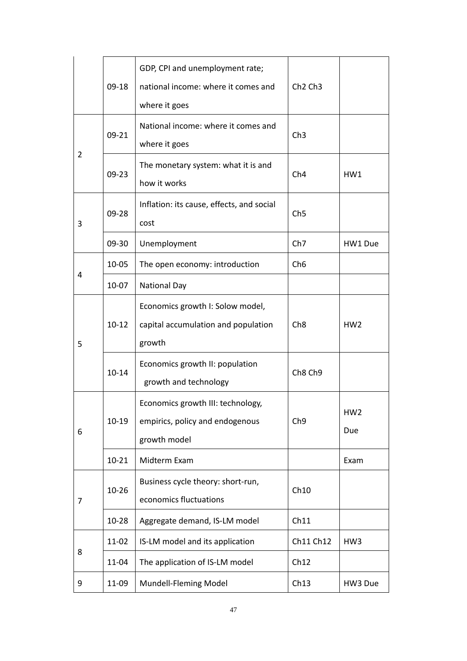|   | $09-18$   | GDP, CPI and unemployment rate;<br>national income: where it comes and<br>where it goes | Ch <sub>2</sub> Ch <sub>3</sub> |                        |
|---|-----------|-----------------------------------------------------------------------------------------|---------------------------------|------------------------|
|   | 09-21     | National income: where it comes and<br>where it goes                                    | Ch3                             |                        |
| 2 | $09 - 23$ | The monetary system: what it is and<br>how it works                                     | Ch4                             | HW1                    |
| 3 | 09-28     | Inflation: its cause, effects, and social<br>cost                                       | Ch5                             |                        |
|   | 09-30     | Unemployment                                                                            | Ch <sub>7</sub>                 | HW1 Due                |
|   | 10-05     | The open economy: introduction                                                          | Ch <sub>6</sub>                 |                        |
| 4 | 10-07     | <b>National Day</b>                                                                     |                                 |                        |
| 5 | $10 - 12$ | Economics growth I: Solow model,<br>capital accumulation and population<br>growth       | Ch8                             | HW <sub>2</sub>        |
|   | $10 - 14$ | Economics growth II: population<br>growth and technology                                | Ch8 Ch9                         |                        |
| 6 | $10-19$   | Economics growth III: technology,<br>empirics, policy and endogenous<br>growth model    | Ch <sub>9</sub>                 | HW <sub>2</sub><br>Due |
|   | $10 - 21$ | Midterm Exam                                                                            |                                 | Exam                   |
| 7 | $10 - 26$ | Business cycle theory: short-run,<br>economics fluctuations                             | Ch10                            |                        |
|   | 10-28     | Aggregate demand, IS-LM model                                                           | Ch11                            |                        |
|   | 11-02     | IS-LM model and its application                                                         | Ch11 Ch12                       | HW3                    |
| 8 | 11-04     | The application of IS-LM model                                                          | Ch12                            |                        |
| 9 | 11-09     | Mundell-Fleming Model                                                                   | Ch13                            | HW3 Due                |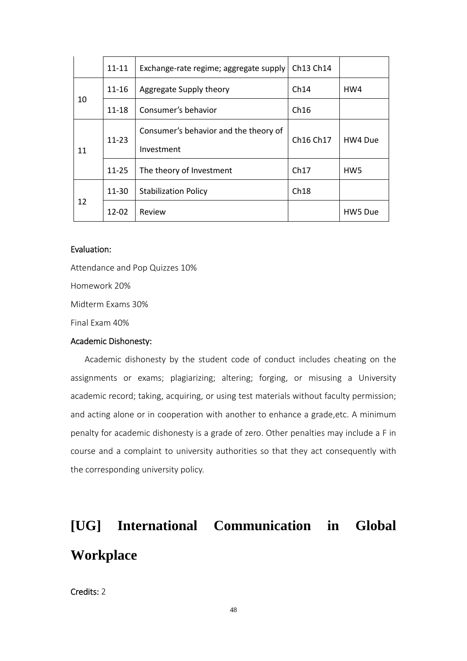|    | $11 - 11$ | Exchange-rate regime; aggregate supply              | Ch13 Ch14                         |                 |
|----|-----------|-----------------------------------------------------|-----------------------------------|-----------------|
|    | $11 - 16$ | Aggregate Supply theory                             | Ch14                              | HW4             |
| 10 | $11 - 18$ | Consumer's behavior                                 | Ch16                              |                 |
| 11 | $11 - 23$ | Consumer's behavior and the theory of<br>Investment | Ch <sub>16</sub> Ch <sub>17</sub> | HW4 Due         |
|    | $11 - 25$ | The theory of Investment                            | Ch17                              | HW <sub>5</sub> |
| 12 | 11-30     | <b>Stabilization Policy</b>                         | Ch18                              |                 |
|    | 12-02     | Review                                              |                                   | HW5 Due         |

### Evaluation:

Attendance and Pop Quizzes 10% Homework 20% Midterm Exams 30% Final Exam 40% Academic Dishonesty:

Academic dishonesty by the student code of conduct includes cheating on the assignments or exams; plagiarizing; altering; forging, or misusing a University academic record; taking, acquiring, or using test materials without faculty permission; and acting alone or in cooperation with another to enhance a grade,etc. A minimum penalty for academic dishonesty is a grade of zero. Other penalties may include a F in course and a complaint to university authorities so that they act consequently with the corresponding university policy.

# **[UG] International Communication in Global Workplace**

# Credits: 2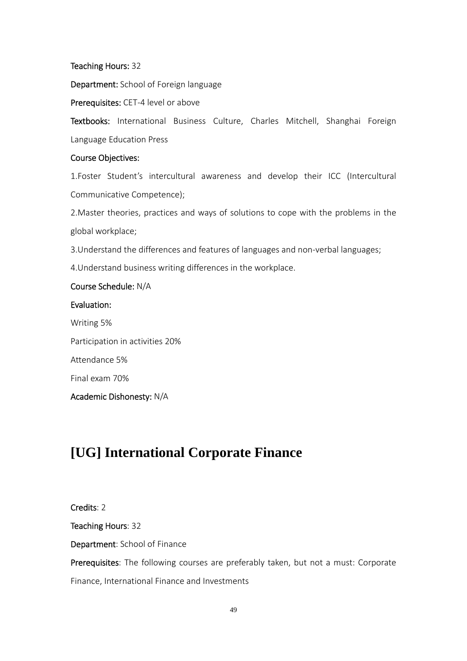Teaching Hours: 32

Department: School of Foreign language

Prerequisites: CET-4 level or above

Textbooks: International Business Culture, Charles Mitchell, Shanghai Foreign Language Education Press

### Course Objectives:

1.Foster Student's intercultural awareness and develop their ICC (Intercultural Communicative Competence);

2.Master theories, practices and ways of solutions to cope with the problems in the global workplace;

3.Understand the differences and features of languages and non‐verbal languages;

4.Understand business writing differences in the workplace.

# Course Schedule: N/A

# Evaluation:

Writing 5% Participation in activities 20% Attendance 5% Final exam 70% Academic Dishonesty: N/A

# **[UG] International Corporate Finance**

Credits: 2 Teaching Hours: 32 Department: School of Finance Prerequisites: The following courses are preferably taken, but not a must: Corporate Finance, International Finance and Investments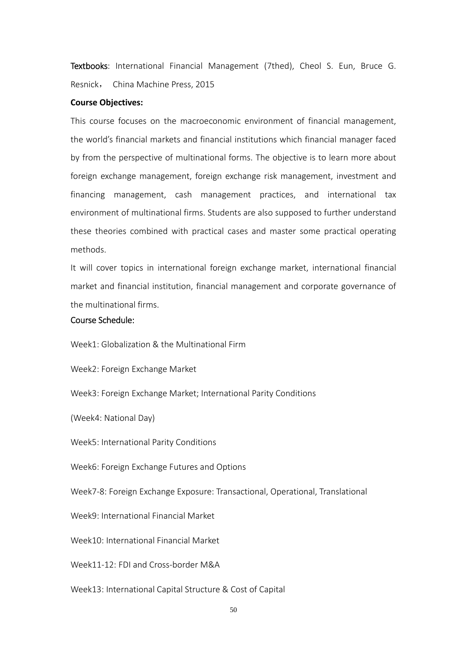Textbooks: International Financial Management (7thed), Cheol S. Eun, Bruce G. Resnick, China Machine Press, 2015

#### **Course Objectives:**

This course focuses on the macroeconomic environment of financial management, the world's financial markets and financial institutions which financial manager faced by from the perspective of multinational forms. The objective is to learn more about foreign exchange management, foreign exchange risk management, investment and financing management, cash management practices, and international tax environment of multinational firms. Students are also supposed to further understand these theories combined with practical cases and master some practical operating methods.

It will cover topics in international foreign exchange market, international financial market and financial institution, financial management and corporate governance of the multinational firms.

### Course Schedule:

Week1: Globalization & the Multinational Firm

Week2: Foreign Exchange Market

Week3: Foreign Exchange Market; International Parity Conditions

(Week4: National Day)

Week5: International Parity Conditions

Week6: Foreign Exchange Futures and Options

Week7‐8: Foreign Exchange Exposure: Transactional, Operational, Translational

Week9: International Financial Market

Week10: International Financial Market

Week11-12: FDI and Cross-border M&A

Week13: International Capital Structure & Cost of Capital